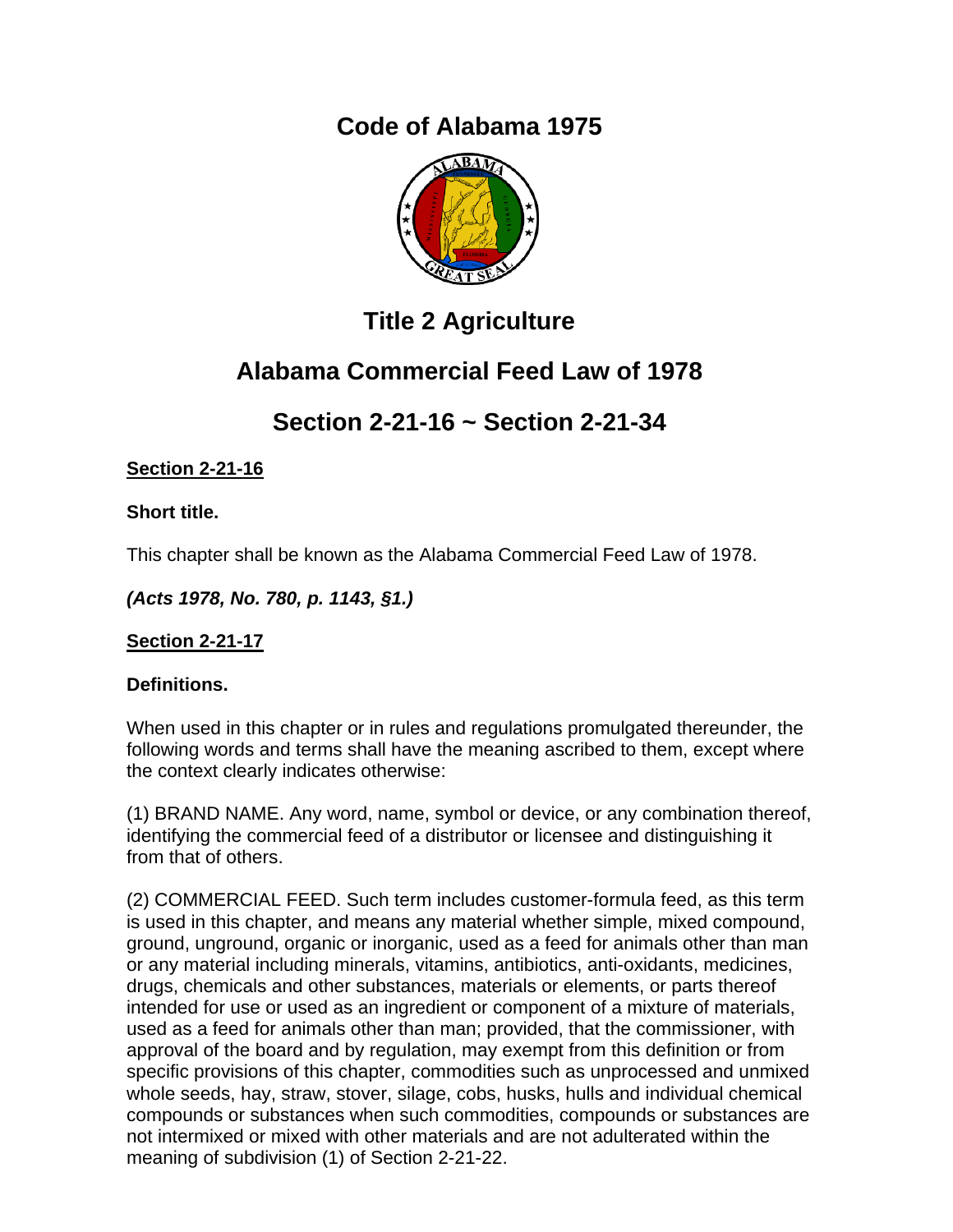# **Code of Alabama 1975**



# **Title 2 Agriculture**

# **Alabama Commercial Feed Law of 1978**

# **Section 2-21-16 ~ Section 2-21-34**

## **Section 2-21-16**

## **Short title.**

This chapter shall be known as the Alabama Commercial Feed Law of 1978.

*(Acts 1978, No. 780, p. 1143, §1.)*

## **Section 2-21-17**

## **Definitions.**

When used in this chapter or in rules and regulations promulgated thereunder, the following words and terms shall have the meaning ascribed to them, except where the context clearly indicates otherwise:

(1) BRAND NAME. Any word, name, symbol or device, or any combination thereof, identifying the commercial feed of a distributor or licensee and distinguishing it from that of others.

(2) COMMERCIAL FEED. Such term includes customer-formula feed, as this term is used in this chapter, and means any material whether simple, mixed compound, ground, unground, organic or inorganic, used as a feed for animals other than man or any material including minerals, vitamins, antibiotics, anti-oxidants, medicines, drugs, chemicals and other substances, materials or elements, or parts thereof intended for use or used as an ingredient or component of a mixture of materials, used as a feed for animals other than man; provided, that the commissioner, with approval of the board and by regulation, may exempt from this definition or from specific provisions of this chapter, commodities such as unprocessed and unmixed whole seeds, hay, straw, stover, silage, cobs, husks, hulls and individual chemical compounds or substances when such commodities, compounds or substances are not intermixed or mixed with other materials and are not adulterated within the meaning of subdivision (1) of Section 2-21-22.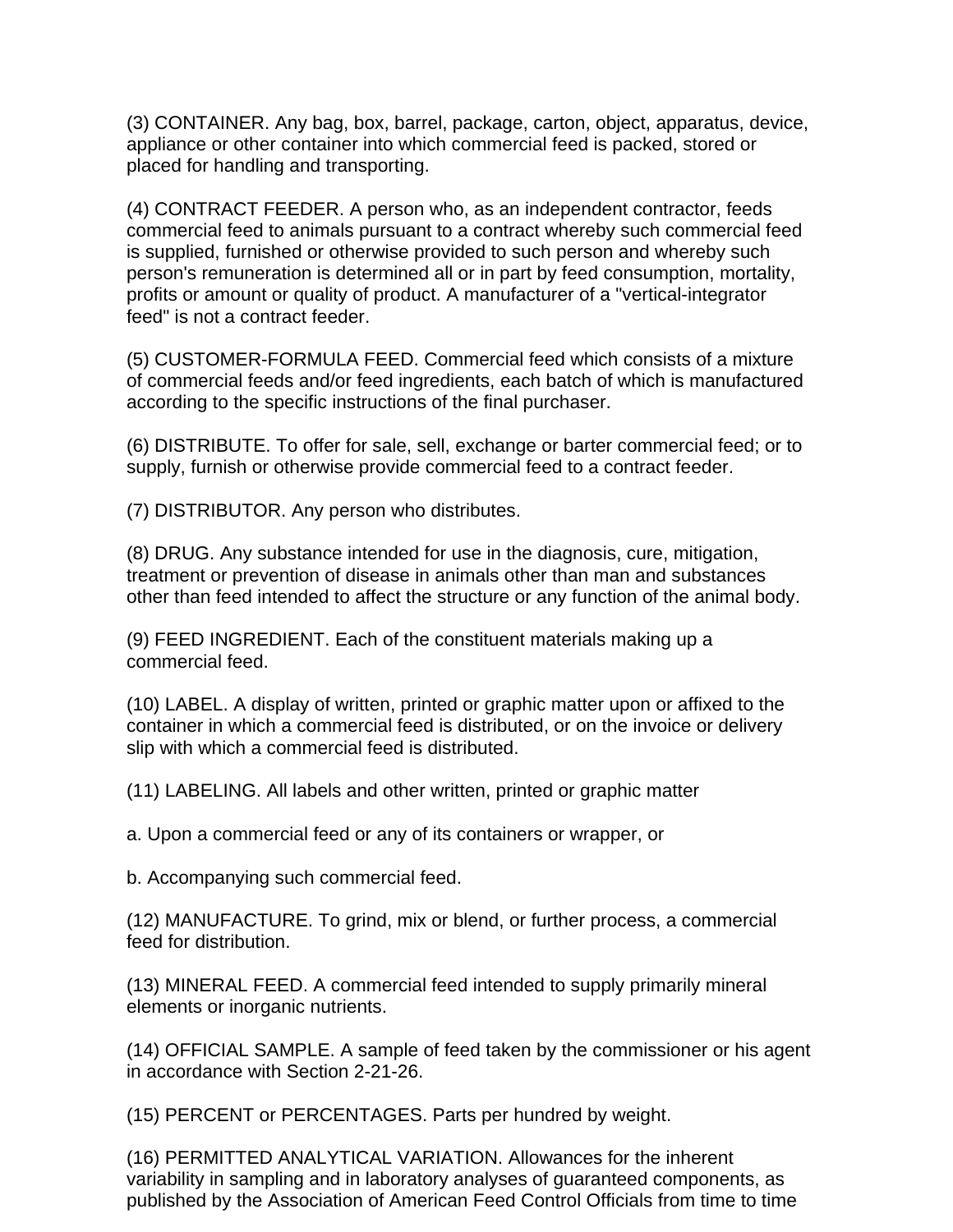(3) CONTAINER. Any bag, box, barrel, package, carton, object, apparatus, device, appliance or other container into which commercial feed is packed, stored or placed for handling and transporting.

(4) CONTRACT FEEDER. A person who, as an independent contractor, feeds commercial feed to animals pursuant to a contract whereby such commercial feed is supplied, furnished or otherwise provided to such person and whereby such person's remuneration is determined all or in part by feed consumption, mortality, profits or amount or quality of product. A manufacturer of a "vertical-integrator feed" is not a contract feeder.

(5) CUSTOMER-FORMULA FEED. Commercial feed which consists of a mixture of commercial feeds and/or feed ingredients, each batch of which is manufactured according to the specific instructions of the final purchaser.

(6) DISTRIBUTE. To offer for sale, sell, exchange or barter commercial feed; or to supply, furnish or otherwise provide commercial feed to a contract feeder.

(7) DISTRIBUTOR. Any person who distributes.

(8) DRUG. Any substance intended for use in the diagnosis, cure, mitigation, treatment or prevention of disease in animals other than man and substances other than feed intended to affect the structure or any function of the animal body.

(9) FEED INGREDIENT. Each of the constituent materials making up a commercial feed.

(10) LABEL. A display of written, printed or graphic matter upon or affixed to the container in which a commercial feed is distributed, or on the invoice or delivery slip with which a commercial feed is distributed.

(11) LABELING. All labels and other written, printed or graphic matter

a. Upon a commercial feed or any of its containers or wrapper, or

b. Accompanying such commercial feed.

(12) MANUFACTURE. To grind, mix or blend, or further process, a commercial feed for distribution.

(13) MINERAL FEED. A commercial feed intended to supply primarily mineral elements or inorganic nutrients.

(14) OFFICIAL SAMPLE. A sample of feed taken by the commissioner or his agent in accordance with Section 2-21-26.

(15) PERCENT or PERCENTAGES. Parts per hundred by weight.

(16) PERMITTED ANALYTICAL VARIATION. Allowances for the inherent variability in sampling and in laboratory analyses of guaranteed components, as published by the Association of American Feed Control Officials from time to time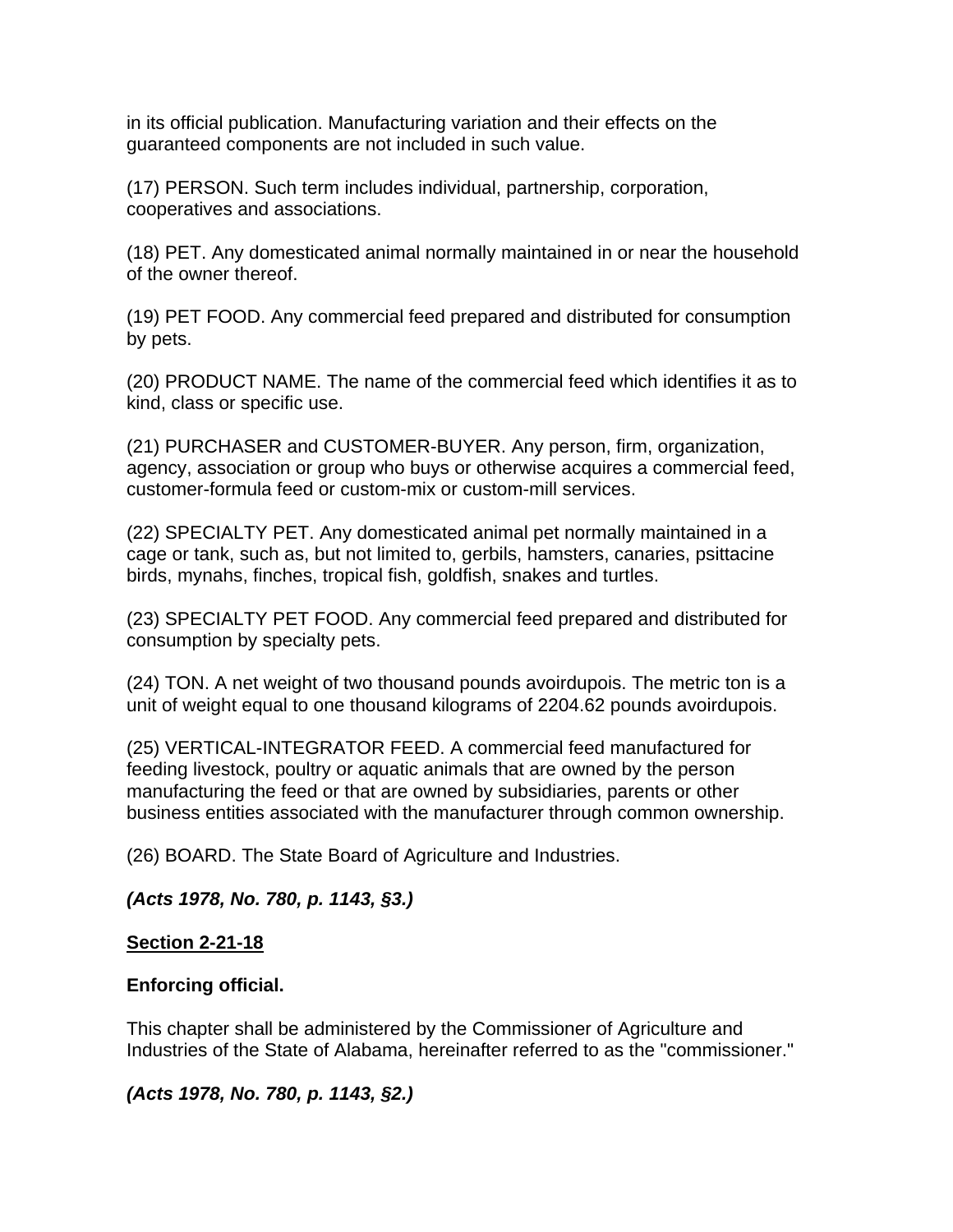in its official publication. Manufacturing variation and their effects on the guaranteed components are not included in such value.

(17) PERSON. Such term includes individual, partnership, corporation, cooperatives and associations.

(18) PET. Any domesticated animal normally maintained in or near the household of the owner thereof.

(19) PET FOOD. Any commercial feed prepared and distributed for consumption by pets.

(20) PRODUCT NAME. The name of the commercial feed which identifies it as to kind, class or specific use.

(21) PURCHASER and CUSTOMER-BUYER. Any person, firm, organization, agency, association or group who buys or otherwise acquires a commercial feed, customer-formula feed or custom-mix or custom-mill services.

(22) SPECIALTY PET. Any domesticated animal pet normally maintained in a cage or tank, such as, but not limited to, gerbils, hamsters, canaries, psittacine birds, mynahs, finches, tropical fish, goldfish, snakes and turtles.

(23) SPECIALTY PET FOOD. Any commercial feed prepared and distributed for consumption by specialty pets.

(24) TON. A net weight of two thousand pounds avoirdupois. The metric ton is a unit of weight equal to one thousand kilograms of 2204.62 pounds avoirdupois.

(25) VERTICAL-INTEGRATOR FEED. A commercial feed manufactured for feeding livestock, poultry or aquatic animals that are owned by the person manufacturing the feed or that are owned by subsidiaries, parents or other business entities associated with the manufacturer through common ownership.

(26) BOARD. The State Board of Agriculture and Industries.

*(Acts 1978, No. 780, p. 1143, §3.)*

### **Section 2-21-18**

### **Enforcing official.**

This chapter shall be administered by the Commissioner of Agriculture and Industries of the State of Alabama, hereinafter referred to as the "commissioner."

*(Acts 1978, No. 780, p. 1143, §2.)*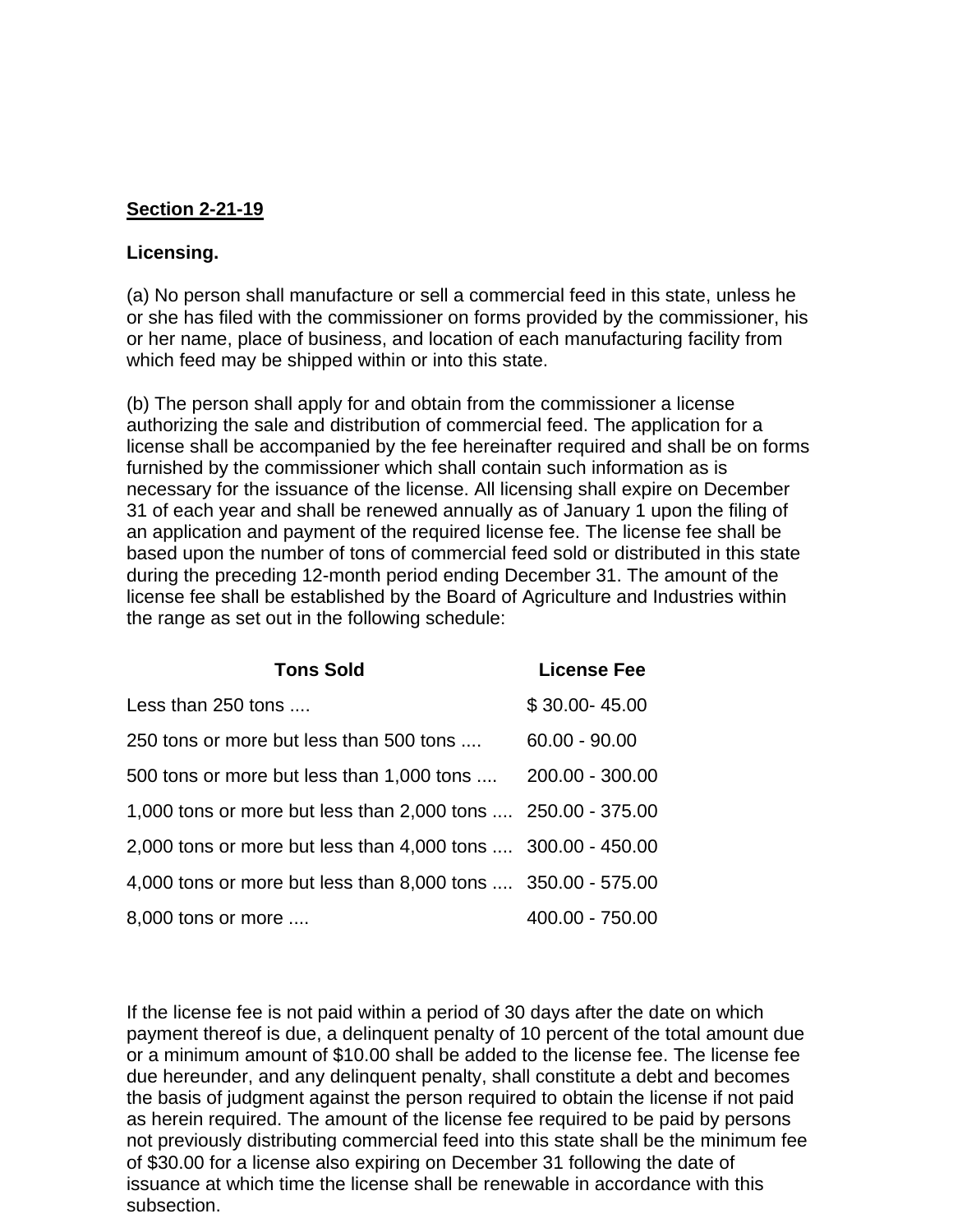## **Section 2-21-19**

#### **Licensing.**

(a) No person shall manufacture or sell a commercial feed in this state, unless he or she has filed with the commissioner on forms provided by the commissioner, his or her name, place of business, and location of each manufacturing facility from which feed may be shipped within or into this state.

(b) The person shall apply for and obtain from the commissioner a license authorizing the sale and distribution of commercial feed. The application for a license shall be accompanied by the fee hereinafter required and shall be on forms furnished by the commissioner which shall contain such information as is necessary for the issuance of the license. All licensing shall expire on December 31 of each year and shall be renewed annually as of January 1 upon the filing of an application and payment of the required license fee. The license fee shall be based upon the number of tons of commercial feed sold or distributed in this state during the preceding 12-month period ending December 31. The amount of the license fee shall be established by the Board of Agriculture and Industries within the range as set out in the following schedule:

| <b>Tons Sold</b>                                             | <b>License Fee</b> |
|--------------------------------------------------------------|--------------------|
| Less than 250 tons                                           | $$30.00 - 45.00$   |
| 250 tons or more but less than 500 tons                      | $60.00 - 90.00$    |
| 500 tons or more but less than 1,000 tons  200.00 - 300.00   |                    |
| 1,000 tons or more but less than 2,000 tons  250.00 - 375.00 |                    |
| 2,000 tons or more but less than 4,000 tons  300.00 - 450.00 |                    |
| 4,000 tons or more but less than 8,000 tons  350.00 - 575.00 |                    |
| 8,000 tons or more                                           | 400.00 - 750.00    |

If the license fee is not paid within a period of 30 days after the date on which payment thereof is due, a delinquent penalty of 10 percent of the total amount due or a minimum amount of \$10.00 shall be added to the license fee. The license fee due hereunder, and any delinquent penalty, shall constitute a debt and becomes the basis of judgment against the person required to obtain the license if not paid as herein required. The amount of the license fee required to be paid by persons not previously distributing commercial feed into this state shall be the minimum fee of \$30.00 for a license also expiring on December 31 following the date of issuance at which time the license shall be renewable in accordance with this subsection.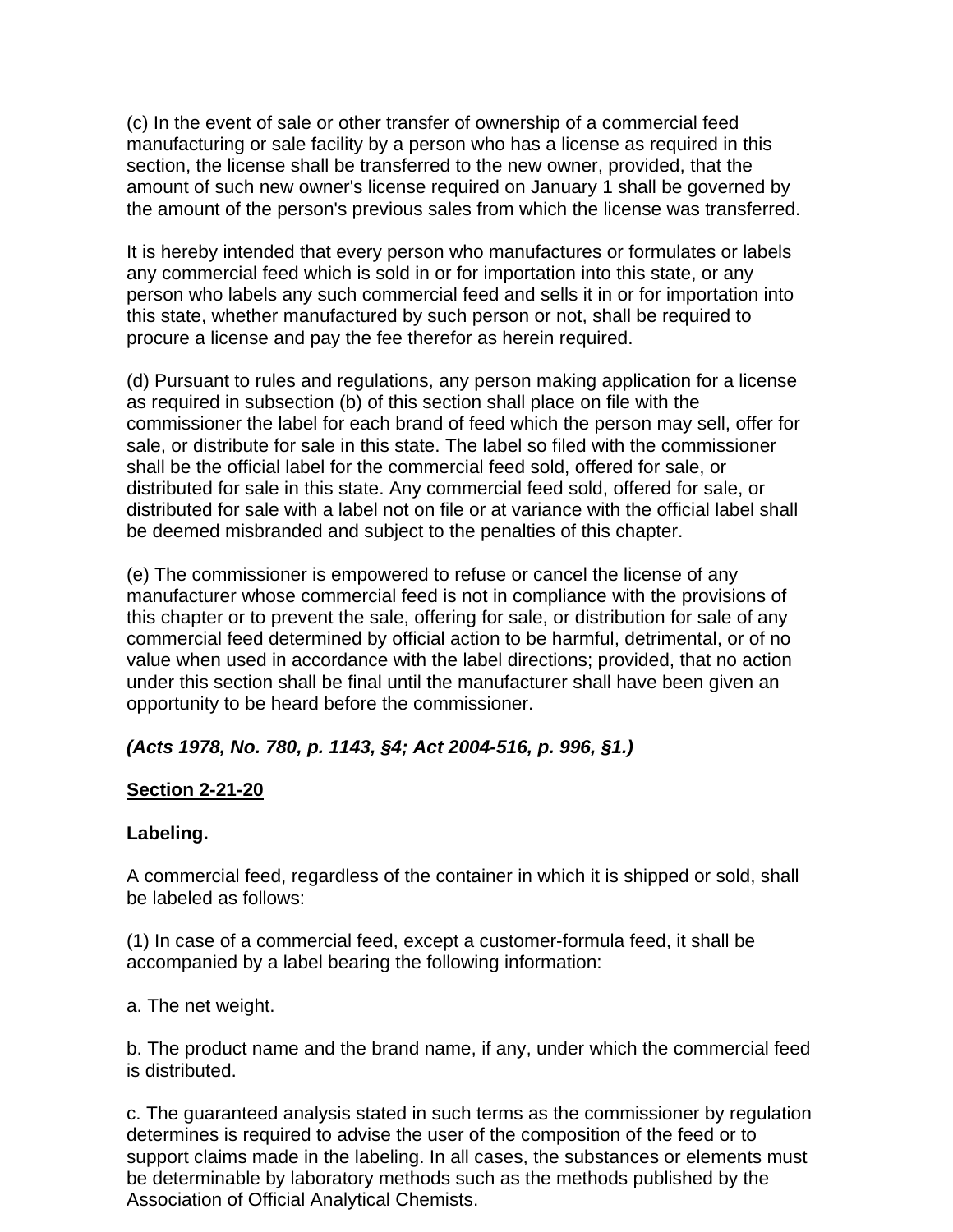(c) In the event of sale or other transfer of ownership of a commercial feed manufacturing or sale facility by a person who has a license as required in this section, the license shall be transferred to the new owner, provided, that the amount of such new owner's license required on January 1 shall be governed by the amount of the person's previous sales from which the license was transferred.

It is hereby intended that every person who manufactures or formulates or labels any commercial feed which is sold in or for importation into this state, or any person who labels any such commercial feed and sells it in or for importation into this state, whether manufactured by such person or not, shall be required to procure a license and pay the fee therefor as herein required.

(d) Pursuant to rules and regulations, any person making application for a license as required in subsection (b) of this section shall place on file with the commissioner the label for each brand of feed which the person may sell, offer for sale, or distribute for sale in this state. The label so filed with the commissioner shall be the official label for the commercial feed sold, offered for sale, or distributed for sale in this state. Any commercial feed sold, offered for sale, or distributed for sale with a label not on file or at variance with the official label shall be deemed misbranded and subject to the penalties of this chapter.

(e) The commissioner is empowered to refuse or cancel the license of any manufacturer whose commercial feed is not in compliance with the provisions of this chapter or to prevent the sale, offering for sale, or distribution for sale of any commercial feed determined by official action to be harmful, detrimental, or of no value when used in accordance with the label directions; provided, that no action under this section shall be final until the manufacturer shall have been given an opportunity to be heard before the commissioner.

## *(Acts 1978, No. 780, p. 1143, §4; Act 2004-516, p. 996, §1.)*

## **Section 2-21-20**

### **Labeling.**

A commercial feed, regardless of the container in which it is shipped or sold, shall be labeled as follows:

(1) In case of a commercial feed, except a customer-formula feed, it shall be accompanied by a label bearing the following information:

a. The net weight.

b. The product name and the brand name, if any, under which the commercial feed is distributed.

c. The guaranteed analysis stated in such terms as the commissioner by regulation determines is required to advise the user of the composition of the feed or to support claims made in the labeling. In all cases, the substances or elements must be determinable by laboratory methods such as the methods published by the Association of Official Analytical Chemists.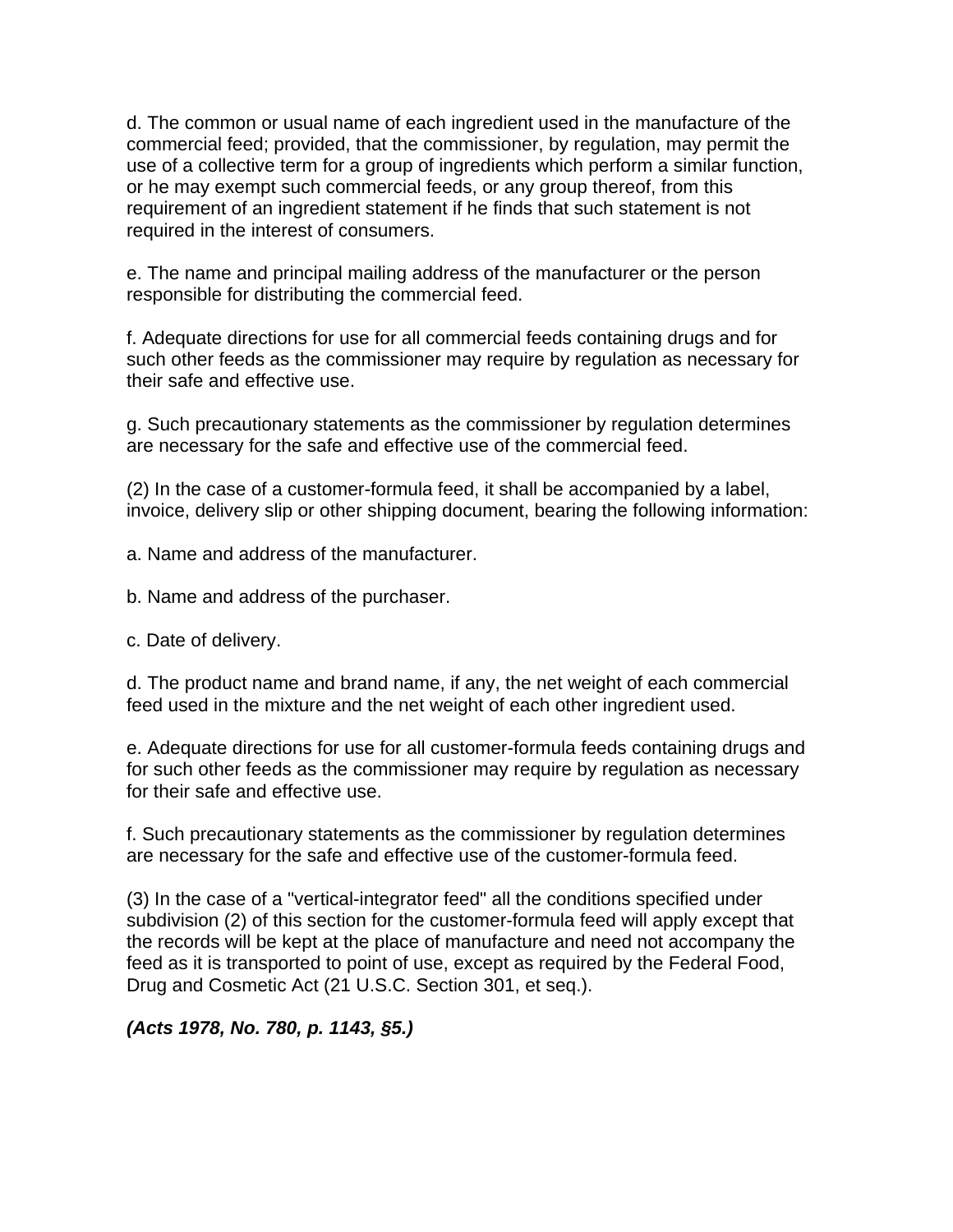d. The common or usual name of each ingredient used in the manufacture of the commercial feed; provided, that the commissioner, by regulation, may permit the use of a collective term for a group of ingredients which perform a similar function, or he may exempt such commercial feeds, or any group thereof, from this requirement of an ingredient statement if he finds that such statement is not required in the interest of consumers.

e. The name and principal mailing address of the manufacturer or the person responsible for distributing the commercial feed.

f. Adequate directions for use for all commercial feeds containing drugs and for such other feeds as the commissioner may require by regulation as necessary for their safe and effective use.

g. Such precautionary statements as the commissioner by regulation determines are necessary for the safe and effective use of the commercial feed.

(2) In the case of a customer-formula feed, it shall be accompanied by a label, invoice, delivery slip or other shipping document, bearing the following information:

a. Name and address of the manufacturer.

b. Name and address of the purchaser.

c. Date of delivery.

d. The product name and brand name, if any, the net weight of each commercial feed used in the mixture and the net weight of each other ingredient used.

e. Adequate directions for use for all customer-formula feeds containing drugs and for such other feeds as the commissioner may require by regulation as necessary for their safe and effective use.

f. Such precautionary statements as the commissioner by regulation determines are necessary for the safe and effective use of the customer-formula feed.

(3) In the case of a "vertical-integrator feed" all the conditions specified under subdivision (2) of this section for the customer-formula feed will apply except that the records will be kept at the place of manufacture and need not accompany the feed as it is transported to point of use, except as required by the Federal Food, Drug and Cosmetic Act (21 U.S.C. Section 301, et seq.).

*(Acts 1978, No. 780, p. 1143, §5.)*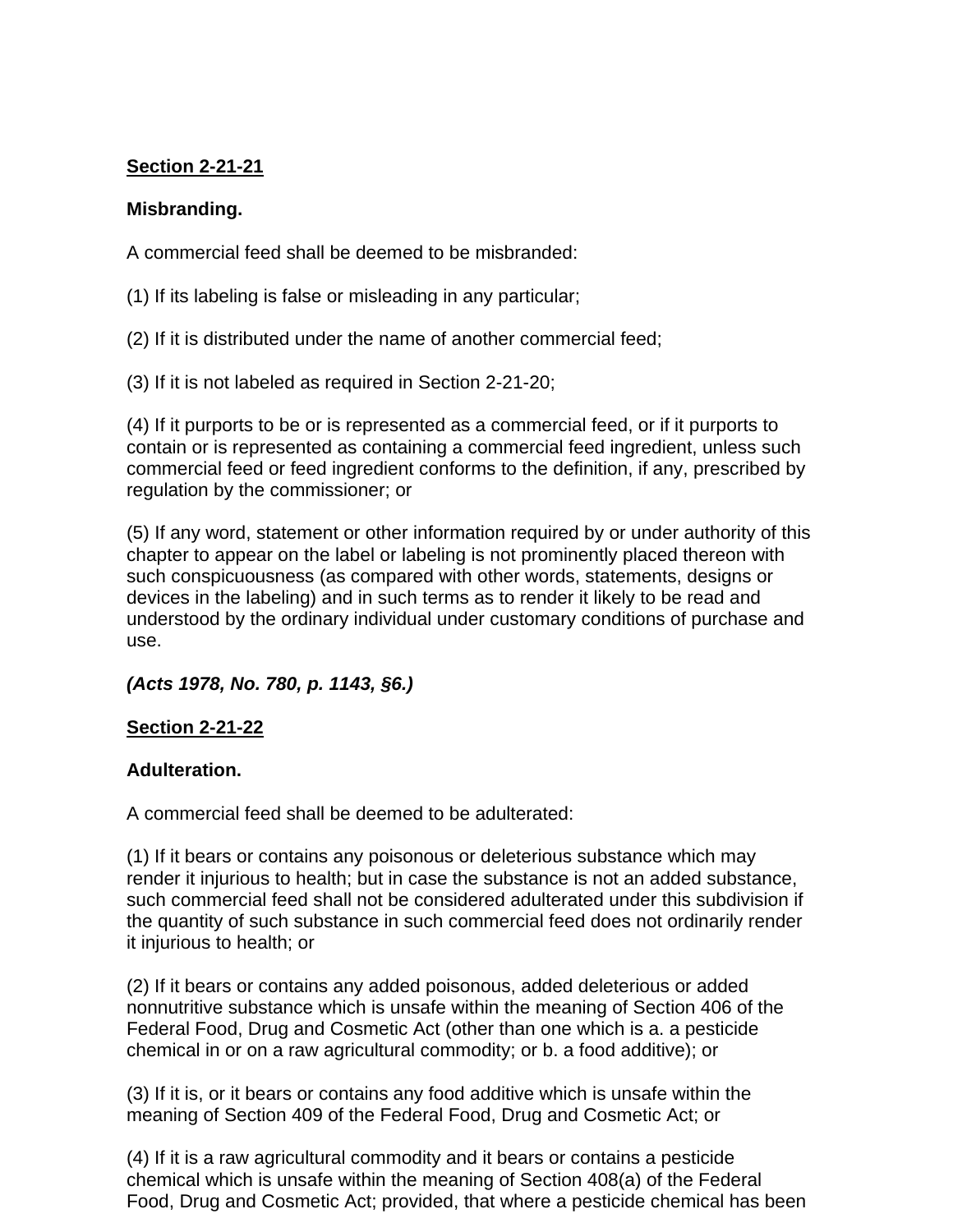## **Section 2-21-21**

## **Misbranding.**

A commercial feed shall be deemed to be misbranded:

(1) If its labeling is false or misleading in any particular;

(2) If it is distributed under the name of another commercial feed;

(3) If it is not labeled as required in Section 2-21-20;

(4) If it purports to be or is represented as a commercial feed, or if it purports to contain or is represented as containing a commercial feed ingredient, unless such commercial feed or feed ingredient conforms to the definition, if any, prescribed by regulation by the commissioner; or

(5) If any word, statement or other information required by or under authority of this chapter to appear on the label or labeling is not prominently placed thereon with such conspicuousness (as compared with other words, statements, designs or devices in the labeling) and in such terms as to render it likely to be read and understood by the ordinary individual under customary conditions of purchase and use.

## *(Acts 1978, No. 780, p. 1143, §6.)*

### **Section 2-21-22**

### **Adulteration.**

A commercial feed shall be deemed to be adulterated:

(1) If it bears or contains any poisonous or deleterious substance which may render it injurious to health; but in case the substance is not an added substance, such commercial feed shall not be considered adulterated under this subdivision if the quantity of such substance in such commercial feed does not ordinarily render it injurious to health; or

(2) If it bears or contains any added poisonous, added deleterious or added nonnutritive substance which is unsafe within the meaning of Section 406 of the Federal Food, Drug and Cosmetic Act (other than one which is a. a pesticide chemical in or on a raw agricultural commodity; or b. a food additive); or

(3) If it is, or it bears or contains any food additive which is unsafe within the meaning of Section 409 of the Federal Food, Drug and Cosmetic Act; or

(4) If it is a raw agricultural commodity and it bears or contains a pesticide chemical which is unsafe within the meaning of Section 408(a) of the Federal Food, Drug and Cosmetic Act; provided, that where a pesticide chemical has been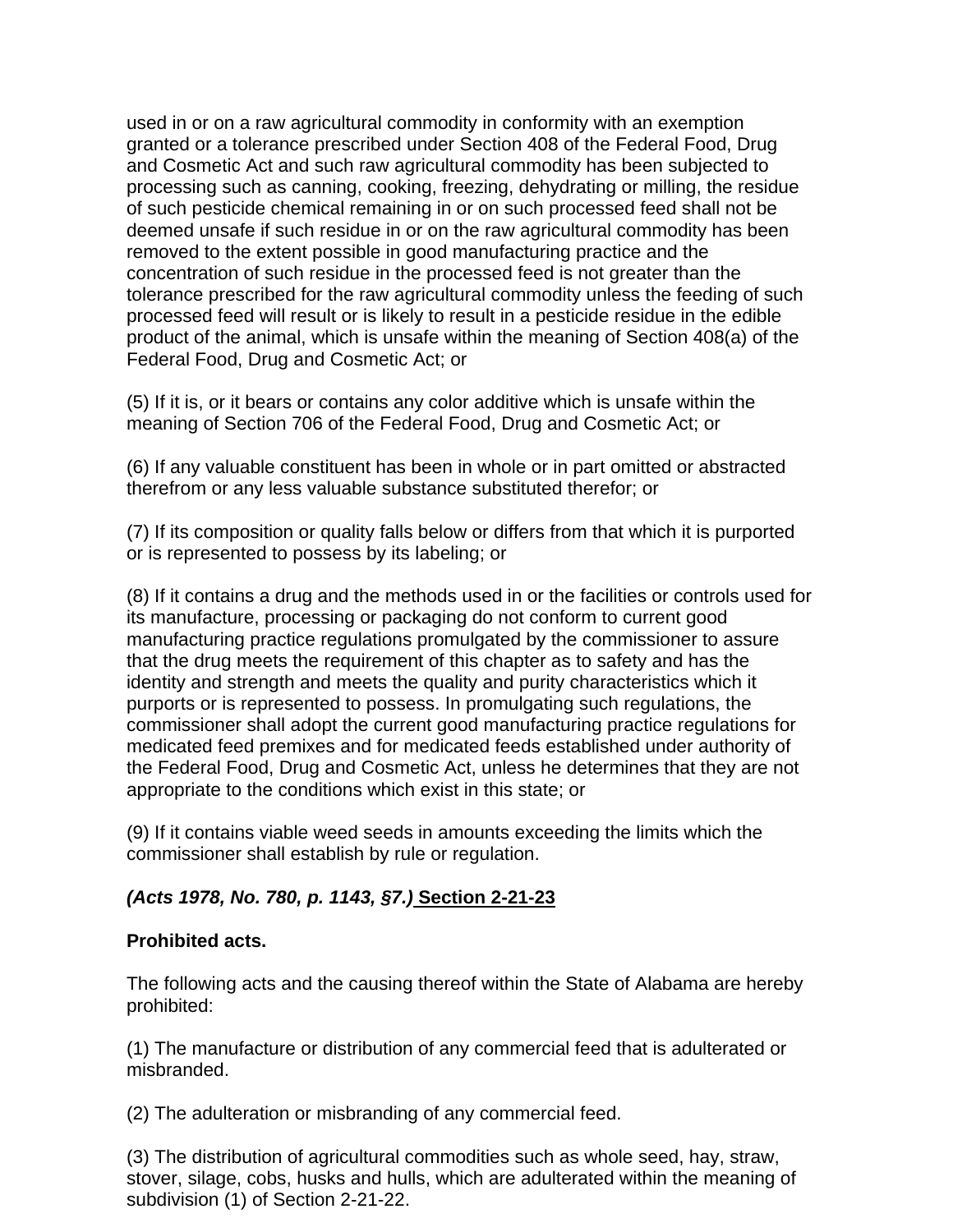used in or on a raw agricultural commodity in conformity with an exemption granted or a tolerance prescribed under Section 408 of the Federal Food, Drug and Cosmetic Act and such raw agricultural commodity has been subjected to processing such as canning, cooking, freezing, dehydrating or milling, the residue of such pesticide chemical remaining in or on such processed feed shall not be deemed unsafe if such residue in or on the raw agricultural commodity has been removed to the extent possible in good manufacturing practice and the concentration of such residue in the processed feed is not greater than the tolerance prescribed for the raw agricultural commodity unless the feeding of such processed feed will result or is likely to result in a pesticide residue in the edible product of the animal, which is unsafe within the meaning of Section 408(a) of the Federal Food, Drug and Cosmetic Act; or

(5) If it is, or it bears or contains any color additive which is unsafe within the meaning of Section 706 of the Federal Food, Drug and Cosmetic Act; or

(6) If any valuable constituent has been in whole or in part omitted or abstracted therefrom or any less valuable substance substituted therefor; or

(7) If its composition or quality falls below or differs from that which it is purported or is represented to possess by its labeling; or

(8) If it contains a drug and the methods used in or the facilities or controls used for its manufacture, processing or packaging do not conform to current good manufacturing practice regulations promulgated by the commissioner to assure that the drug meets the requirement of this chapter as to safety and has the identity and strength and meets the quality and purity characteristics which it purports or is represented to possess. In promulgating such regulations, the commissioner shall adopt the current good manufacturing practice regulations for medicated feed premixes and for medicated feeds established under authority of the Federal Food, Drug and Cosmetic Act, unless he determines that they are not appropriate to the conditions which exist in this state; or

(9) If it contains viable weed seeds in amounts exceeding the limits which the commissioner shall establish by rule or regulation.

## *(Acts 1978, No. 780, p. 1143, §7.)* **Section 2-21-23**

### **Prohibited acts.**

The following acts and the causing thereof within the State of Alabama are hereby prohibited:

(1) The manufacture or distribution of any commercial feed that is adulterated or misbranded.

(2) The adulteration or misbranding of any commercial feed.

(3) The distribution of agricultural commodities such as whole seed, hay, straw, stover, silage, cobs, husks and hulls, which are adulterated within the meaning of subdivision (1) of Section 2-21-22.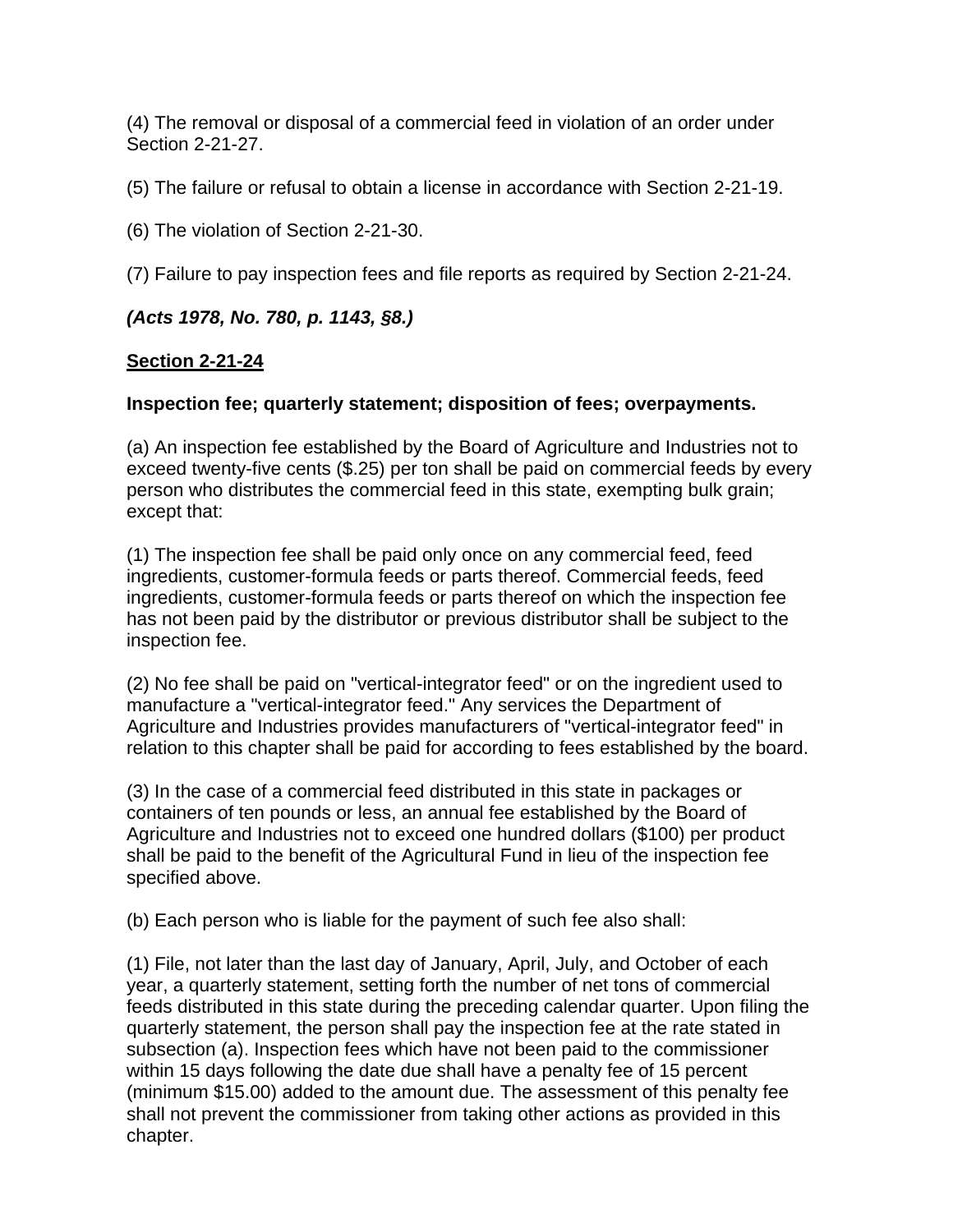(4) The removal or disposal of a commercial feed in violation of an order under Section 2-21-27.

(5) The failure or refusal to obtain a license in accordance with Section 2-21-19.

(6) The violation of Section 2-21-30.

(7) Failure to pay inspection fees and file reports as required by Section 2-21-24.

## *(Acts 1978, No. 780, p. 1143, §8.)*

### **Section 2-21-24**

### **Inspection fee; quarterly statement; disposition of fees; overpayments.**

(a) An inspection fee established by the Board of Agriculture and Industries not to exceed twenty-five cents (\$.25) per ton shall be paid on commercial feeds by every person who distributes the commercial feed in this state, exempting bulk grain; except that:

(1) The inspection fee shall be paid only once on any commercial feed, feed ingredients, customer-formula feeds or parts thereof. Commercial feeds, feed ingredients, customer-formula feeds or parts thereof on which the inspection fee has not been paid by the distributor or previous distributor shall be subject to the inspection fee.

(2) No fee shall be paid on "vertical-integrator feed" or on the ingredient used to manufacture a "vertical-integrator feed." Any services the Department of Agriculture and Industries provides manufacturers of "vertical-integrator feed" in relation to this chapter shall be paid for according to fees established by the board.

(3) In the case of a commercial feed distributed in this state in packages or containers of ten pounds or less, an annual fee established by the Board of Agriculture and Industries not to exceed one hundred dollars (\$100) per product shall be paid to the benefit of the Agricultural Fund in lieu of the inspection fee specified above.

(b) Each person who is liable for the payment of such fee also shall:

(1) File, not later than the last day of January, April, July, and October of each year, a quarterly statement, setting forth the number of net tons of commercial feeds distributed in this state during the preceding calendar quarter. Upon filing the quarterly statement, the person shall pay the inspection fee at the rate stated in subsection (a). Inspection fees which have not been paid to the commissioner within 15 days following the date due shall have a penalty fee of 15 percent (minimum \$15.00) added to the amount due. The assessment of this penalty fee shall not prevent the commissioner from taking other actions as provided in this chapter.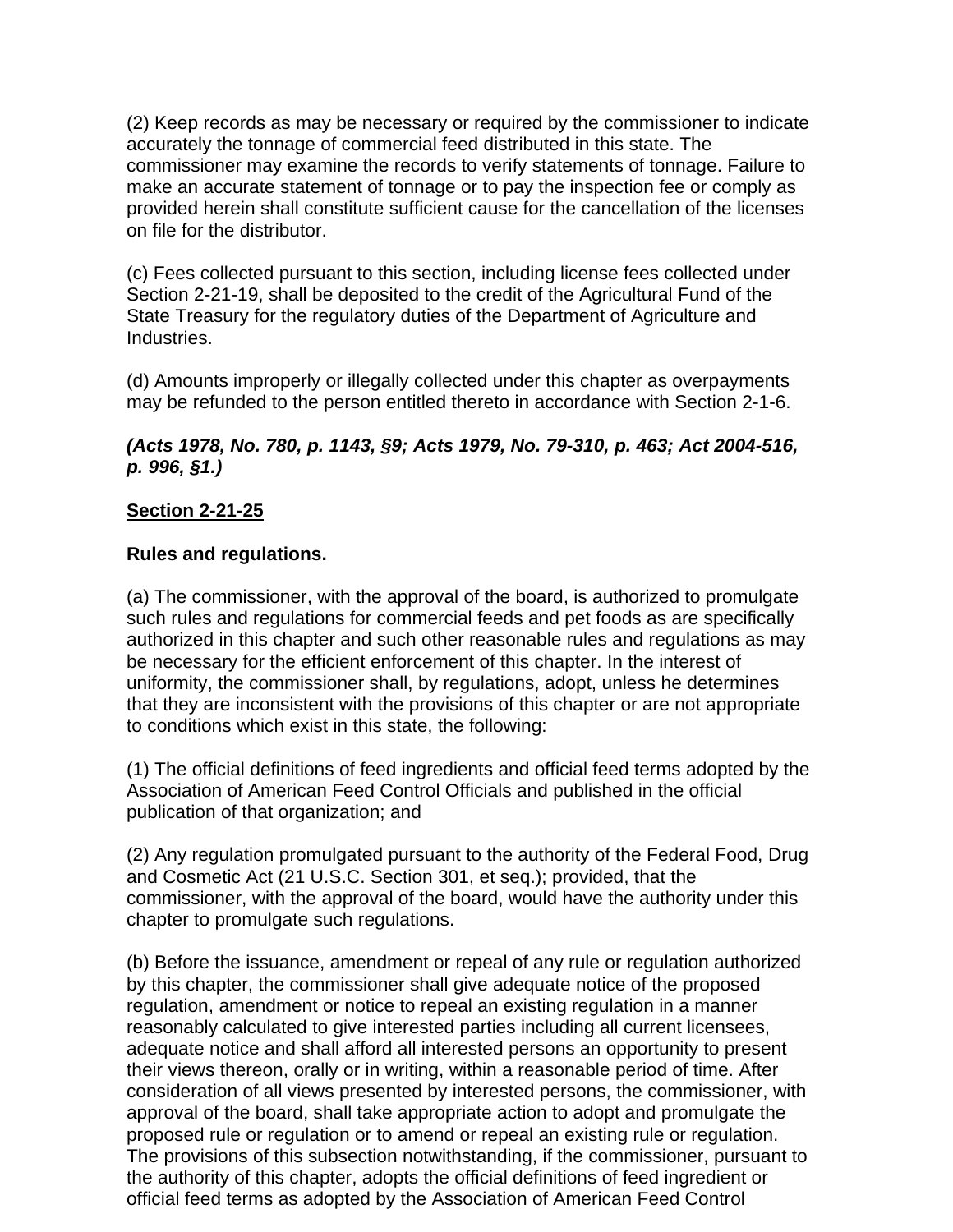(2) Keep records as may be necessary or required by the commissioner to indicate accurately the tonnage of commercial feed distributed in this state. The commissioner may examine the records to verify statements of tonnage. Failure to make an accurate statement of tonnage or to pay the inspection fee or comply as provided herein shall constitute sufficient cause for the cancellation of the licenses on file for the distributor.

(c) Fees collected pursuant to this section, including license fees collected under Section 2-21-19, shall be deposited to the credit of the Agricultural Fund of the State Treasury for the regulatory duties of the Department of Agriculture and Industries.

(d) Amounts improperly or illegally collected under this chapter as overpayments may be refunded to the person entitled thereto in accordance with Section 2-1-6.

## *(Acts 1978, No. 780, p. 1143, §9; Acts 1979, No. 79-310, p. 463; Act 2004-516, p. 996, §1.)*

## **Section 2-21-25**

### **Rules and regulations.**

(a) The commissioner, with the approval of the board, is authorized to promulgate such rules and regulations for commercial feeds and pet foods as are specifically authorized in this chapter and such other reasonable rules and regulations as may be necessary for the efficient enforcement of this chapter. In the interest of uniformity, the commissioner shall, by regulations, adopt, unless he determines that they are inconsistent with the provisions of this chapter or are not appropriate to conditions which exist in this state, the following:

(1) The official definitions of feed ingredients and official feed terms adopted by the Association of American Feed Control Officials and published in the official publication of that organization; and

(2) Any regulation promulgated pursuant to the authority of the Federal Food, Drug and Cosmetic Act (21 U.S.C. Section 301, et seq.); provided, that the commissioner, with the approval of the board, would have the authority under this chapter to promulgate such regulations.

(b) Before the issuance, amendment or repeal of any rule or regulation authorized by this chapter, the commissioner shall give adequate notice of the proposed regulation, amendment or notice to repeal an existing regulation in a manner reasonably calculated to give interested parties including all current licensees, adequate notice and shall afford all interested persons an opportunity to present their views thereon, orally or in writing, within a reasonable period of time. After consideration of all views presented by interested persons, the commissioner, with approval of the board, shall take appropriate action to adopt and promulgate the proposed rule or regulation or to amend or repeal an existing rule or regulation. The provisions of this subsection notwithstanding, if the commissioner, pursuant to the authority of this chapter, adopts the official definitions of feed ingredient or official feed terms as adopted by the Association of American Feed Control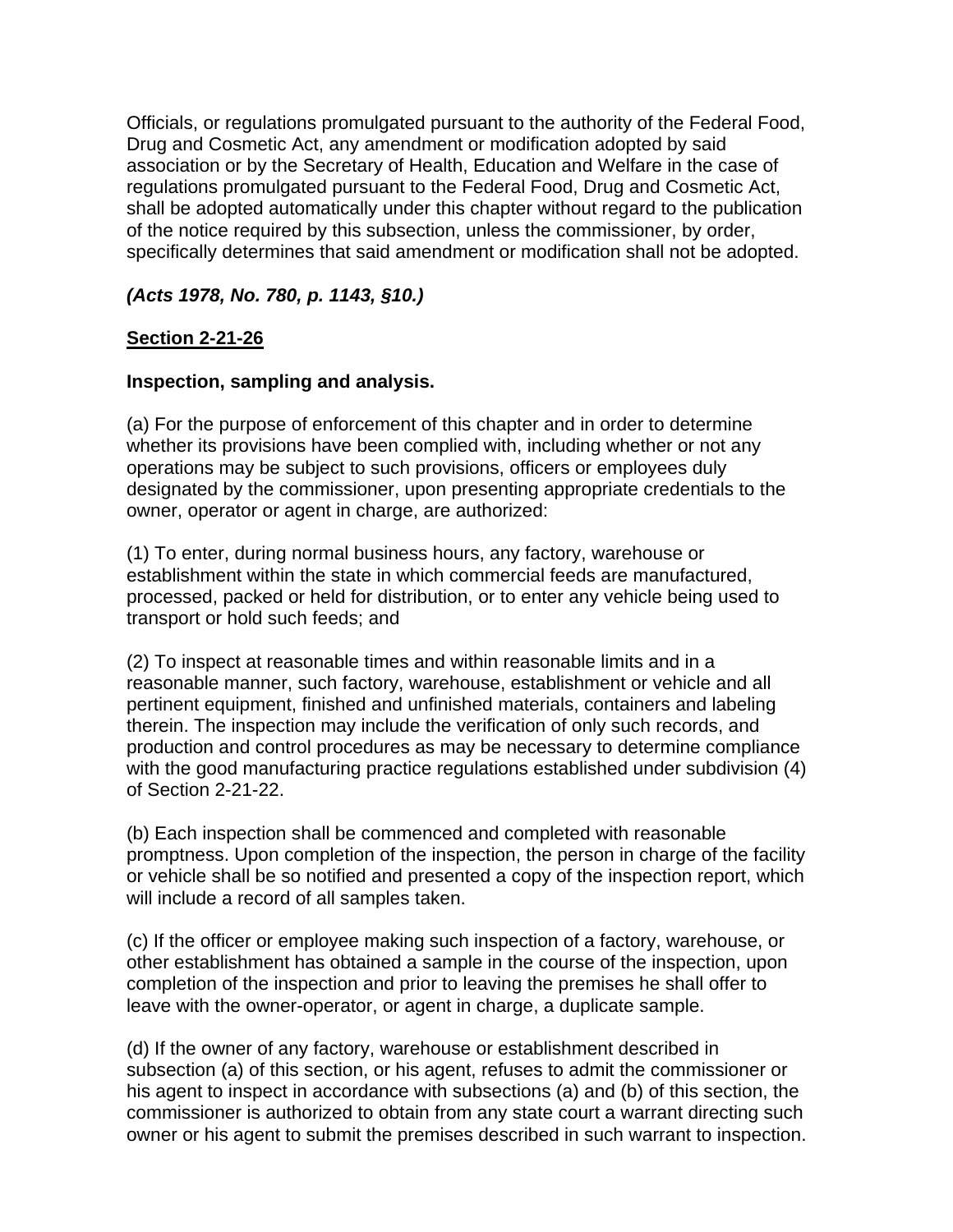Officials, or regulations promulgated pursuant to the authority of the Federal Food, Drug and Cosmetic Act, any amendment or modification adopted by said association or by the Secretary of Health, Education and Welfare in the case of regulations promulgated pursuant to the Federal Food, Drug and Cosmetic Act, shall be adopted automatically under this chapter without regard to the publication of the notice required by this subsection, unless the commissioner, by order, specifically determines that said amendment or modification shall not be adopted.

## *(Acts 1978, No. 780, p. 1143, §10.)*

## **Section 2-21-26**

### **Inspection, sampling and analysis.**

(a) For the purpose of enforcement of this chapter and in order to determine whether its provisions have been complied with, including whether or not any operations may be subject to such provisions, officers or employees duly designated by the commissioner, upon presenting appropriate credentials to the owner, operator or agent in charge, are authorized:

(1) To enter, during normal business hours, any factory, warehouse or establishment within the state in which commercial feeds are manufactured, processed, packed or held for distribution, or to enter any vehicle being used to transport or hold such feeds; and

(2) To inspect at reasonable times and within reasonable limits and in a reasonable manner, such factory, warehouse, establishment or vehicle and all pertinent equipment, finished and unfinished materials, containers and labeling therein. The inspection may include the verification of only such records, and production and control procedures as may be necessary to determine compliance with the good manufacturing practice regulations established under subdivision (4) of Section 2-21-22.

(b) Each inspection shall be commenced and completed with reasonable promptness. Upon completion of the inspection, the person in charge of the facility or vehicle shall be so notified and presented a copy of the inspection report, which will include a record of all samples taken.

(c) If the officer or employee making such inspection of a factory, warehouse, or other establishment has obtained a sample in the course of the inspection, upon completion of the inspection and prior to leaving the premises he shall offer to leave with the owner-operator, or agent in charge, a duplicate sample.

(d) If the owner of any factory, warehouse or establishment described in subsection (a) of this section, or his agent, refuses to admit the commissioner or his agent to inspect in accordance with subsections (a) and (b) of this section, the commissioner is authorized to obtain from any state court a warrant directing such owner or his agent to submit the premises described in such warrant to inspection.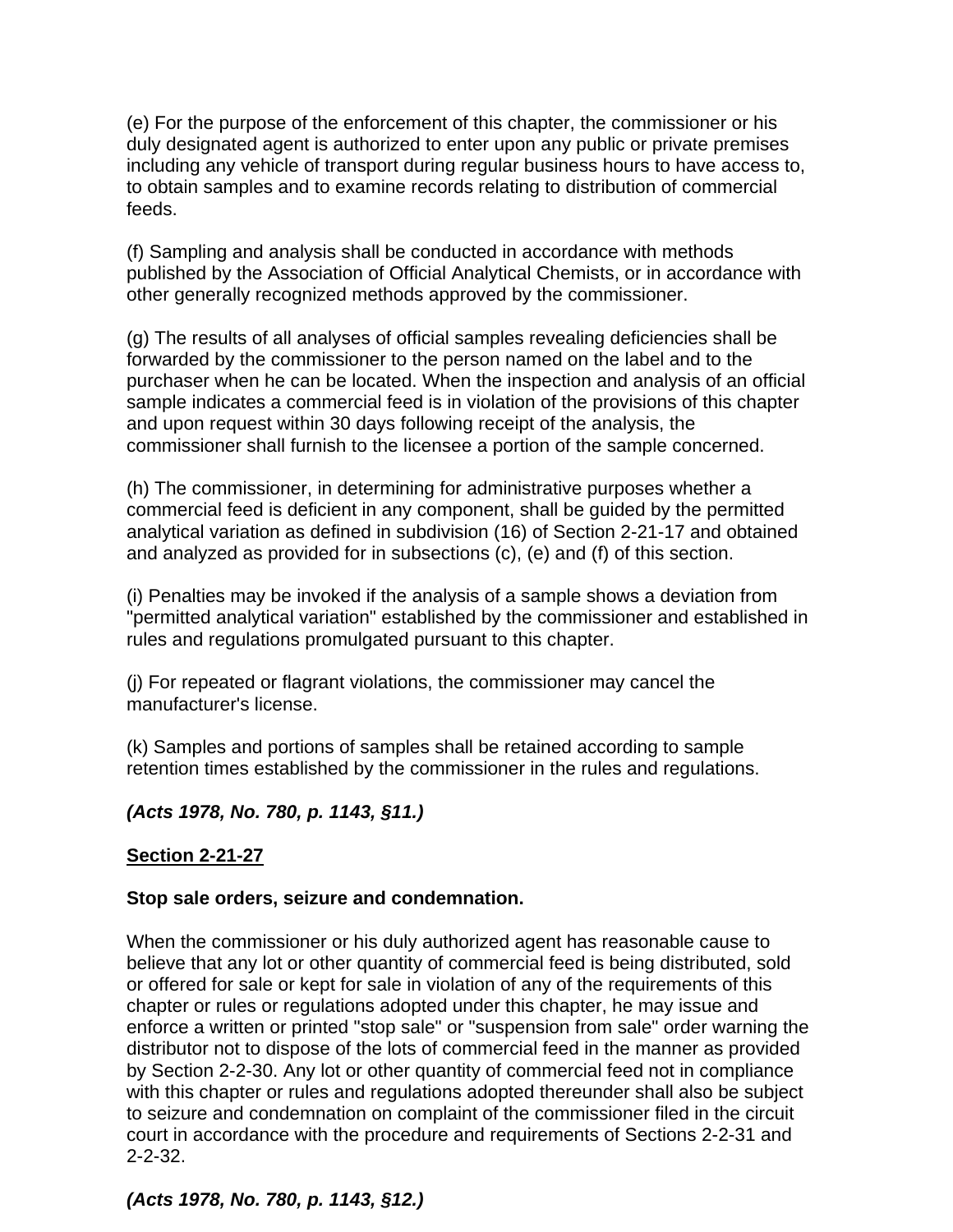(e) For the purpose of the enforcement of this chapter, the commissioner or his duly designated agent is authorized to enter upon any public or private premises including any vehicle of transport during regular business hours to have access to, to obtain samples and to examine records relating to distribution of commercial feeds.

(f) Sampling and analysis shall be conducted in accordance with methods published by the Association of Official Analytical Chemists, or in accordance with other generally recognized methods approved by the commissioner.

(g) The results of all analyses of official samples revealing deficiencies shall be forwarded by the commissioner to the person named on the label and to the purchaser when he can be located. When the inspection and analysis of an official sample indicates a commercial feed is in violation of the provisions of this chapter and upon request within 30 days following receipt of the analysis, the commissioner shall furnish to the licensee a portion of the sample concerned.

(h) The commissioner, in determining for administrative purposes whether a commercial feed is deficient in any component, shall be guided by the permitted analytical variation as defined in subdivision (16) of Section 2-21-17 and obtained and analyzed as provided for in subsections (c), (e) and (f) of this section.

(i) Penalties may be invoked if the analysis of a sample shows a deviation from "permitted analytical variation" established by the commissioner and established in rules and regulations promulgated pursuant to this chapter.

(j) For repeated or flagrant violations, the commissioner may cancel the manufacturer's license.

(k) Samples and portions of samples shall be retained according to sample retention times established by the commissioner in the rules and regulations.

## *(Acts 1978, No. 780, p. 1143, §11.)*

## **Section 2-21-27**

### **Stop sale orders, seizure and condemnation.**

When the commissioner or his duly authorized agent has reasonable cause to believe that any lot or other quantity of commercial feed is being distributed, sold or offered for sale or kept for sale in violation of any of the requirements of this chapter or rules or regulations adopted under this chapter, he may issue and enforce a written or printed "stop sale" or "suspension from sale" order warning the distributor not to dispose of the lots of commercial feed in the manner as provided by Section 2-2-30. Any lot or other quantity of commercial feed not in compliance with this chapter or rules and regulations adopted thereunder shall also be subject to seizure and condemnation on complaint of the commissioner filed in the circuit court in accordance with the procedure and requirements of Sections 2-2-31 and 2-2-32.

## *(Acts 1978, No. 780, p. 1143, §12.)*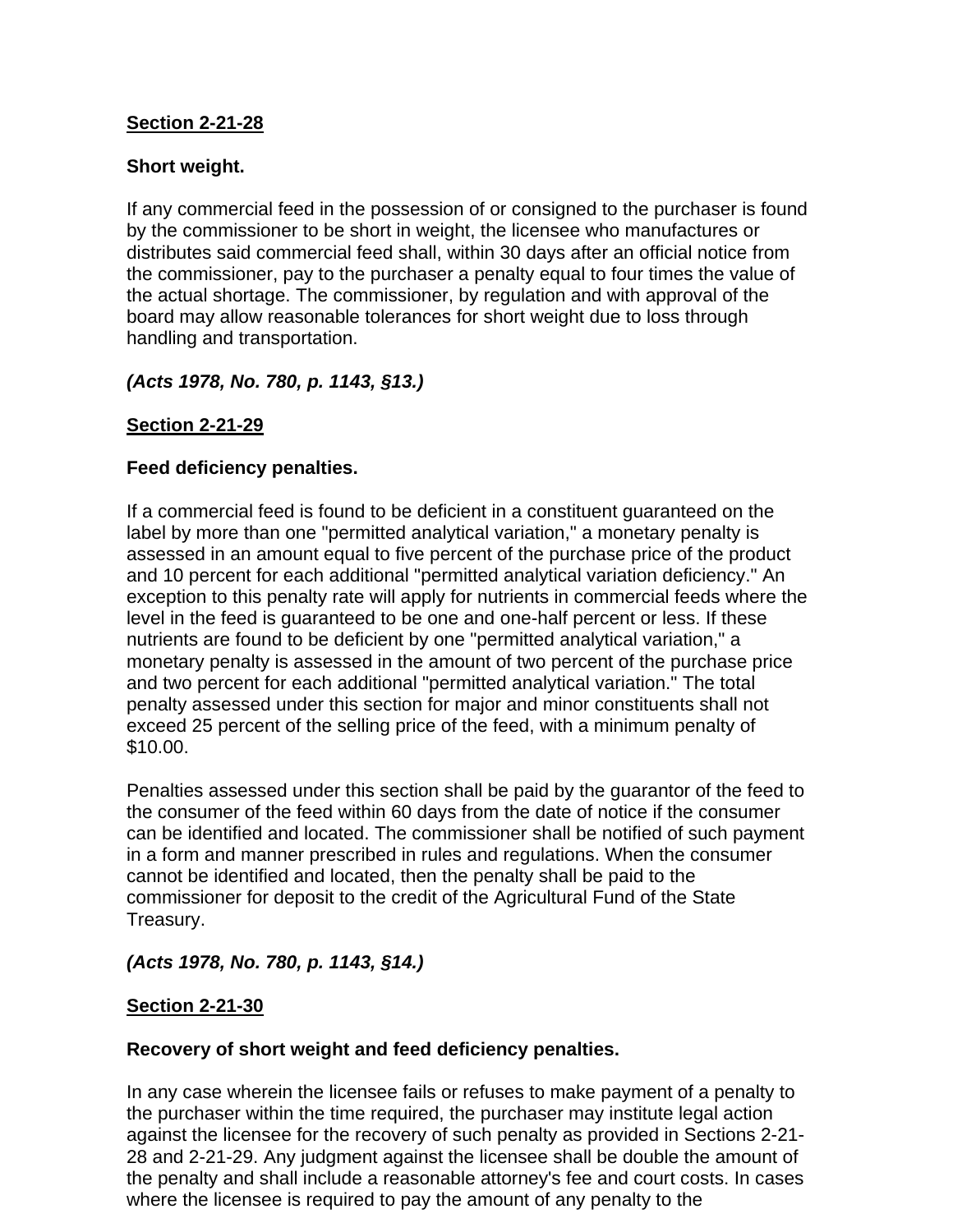## **Section 2-21-28**

## **Short weight.**

If any commercial feed in the possession of or consigned to the purchaser is found by the commissioner to be short in weight, the licensee who manufactures or distributes said commercial feed shall, within 30 days after an official notice from the commissioner, pay to the purchaser a penalty equal to four times the value of the actual shortage. The commissioner, by regulation and with approval of the board may allow reasonable tolerances for short weight due to loss through handling and transportation.

## *(Acts 1978, No. 780, p. 1143, §13.)*

## **Section 2-21-29**

## **Feed deficiency penalties.**

If a commercial feed is found to be deficient in a constituent guaranteed on the label by more than one "permitted analytical variation," a monetary penalty is assessed in an amount equal to five percent of the purchase price of the product and 10 percent for each additional "permitted analytical variation deficiency." An exception to this penalty rate will apply for nutrients in commercial feeds where the level in the feed is guaranteed to be one and one-half percent or less. If these nutrients are found to be deficient by one "permitted analytical variation," a monetary penalty is assessed in the amount of two percent of the purchase price and two percent for each additional "permitted analytical variation." The total penalty assessed under this section for major and minor constituents shall not exceed 25 percent of the selling price of the feed, with a minimum penalty of \$10.00.

Penalties assessed under this section shall be paid by the guarantor of the feed to the consumer of the feed within 60 days from the date of notice if the consumer can be identified and located. The commissioner shall be notified of such payment in a form and manner prescribed in rules and regulations. When the consumer cannot be identified and located, then the penalty shall be paid to the commissioner for deposit to the credit of the Agricultural Fund of the State Treasury.

### *(Acts 1978, No. 780, p. 1143, §14.)*

### **Section 2-21-30**

### **Recovery of short weight and feed deficiency penalties.**

In any case wherein the licensee fails or refuses to make payment of a penalty to the purchaser within the time required, the purchaser may institute legal action against the licensee for the recovery of such penalty as provided in Sections 2-21- 28 and 2-21-29. Any judgment against the licensee shall be double the amount of the penalty and shall include a reasonable attorney's fee and court costs. In cases where the licensee is required to pay the amount of any penalty to the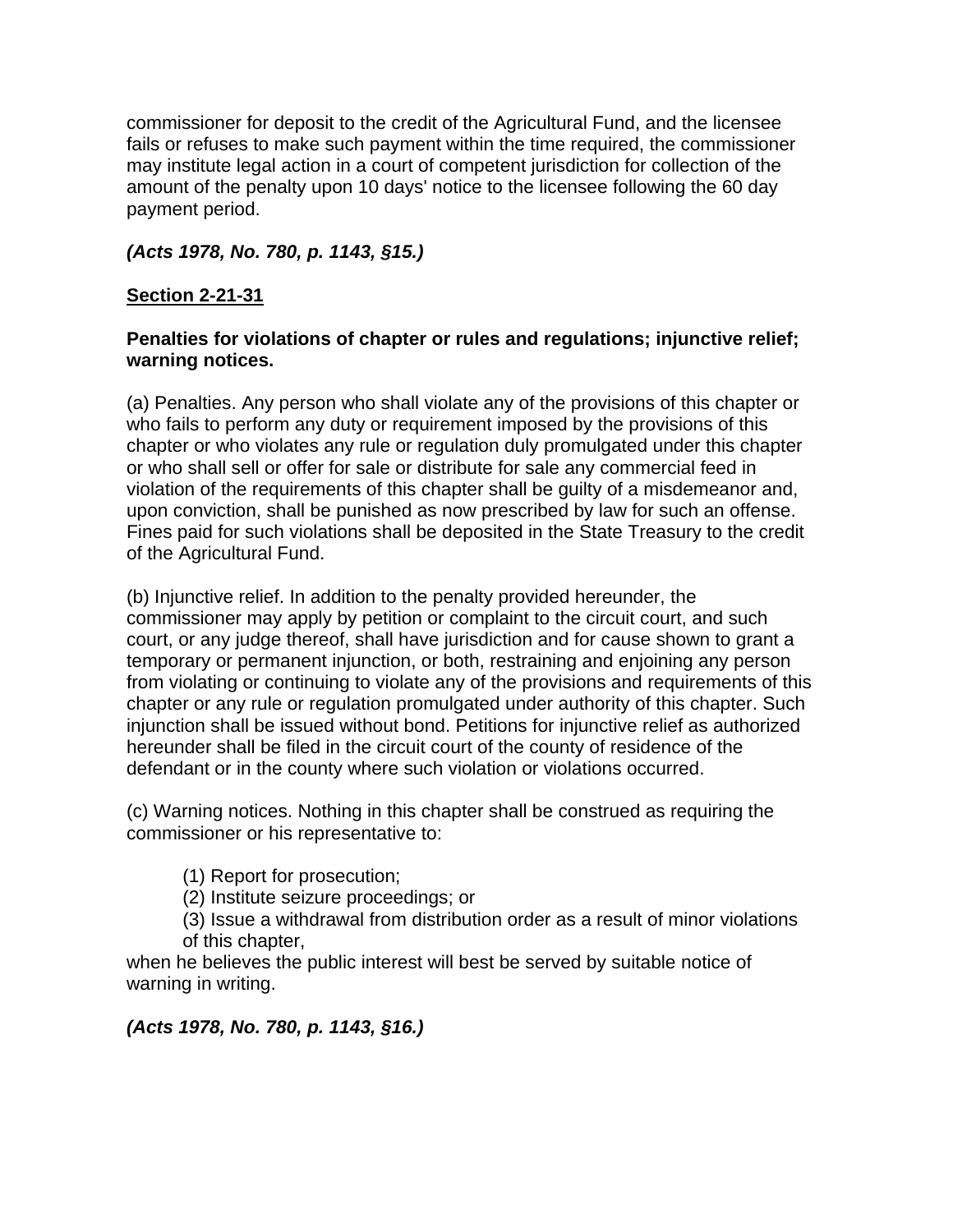commissioner for deposit to the credit of the Agricultural Fund, and the licensee fails or refuses to make such payment within the time required, the commissioner may institute legal action in a court of competent jurisdiction for collection of the amount of the penalty upon 10 days' notice to the licensee following the 60 day payment period.

*(Acts 1978, No. 780, p. 1143, §15.)*

## **Section 2-21-31**

### **Penalties for violations of chapter or rules and regulations; injunctive relief; warning notices.**

(a) Penalties. Any person who shall violate any of the provisions of this chapter or who fails to perform any duty or requirement imposed by the provisions of this chapter or who violates any rule or regulation duly promulgated under this chapter or who shall sell or offer for sale or distribute for sale any commercial feed in violation of the requirements of this chapter shall be guilty of a misdemeanor and, upon conviction, shall be punished as now prescribed by law for such an offense. Fines paid for such violations shall be deposited in the State Treasury to the credit of the Agricultural Fund.

(b) Injunctive relief. In addition to the penalty provided hereunder, the commissioner may apply by petition or complaint to the circuit court, and such court, or any judge thereof, shall have jurisdiction and for cause shown to grant a temporary or permanent injunction, or both, restraining and enjoining any person from violating or continuing to violate any of the provisions and requirements of this chapter or any rule or regulation promulgated under authority of this chapter. Such injunction shall be issued without bond. Petitions for injunctive relief as authorized hereunder shall be filed in the circuit court of the county of residence of the defendant or in the county where such violation or violations occurred.

(c) Warning notices. Nothing in this chapter shall be construed as requiring the commissioner or his representative to:

(1) Report for prosecution;

(2) Institute seizure proceedings; or

(3) Issue a withdrawal from distribution order as a result of minor violations of this chapter,

when he believes the public interest will best be served by suitable notice of warning in writing.

*(Acts 1978, No. 780, p. 1143, §16.)*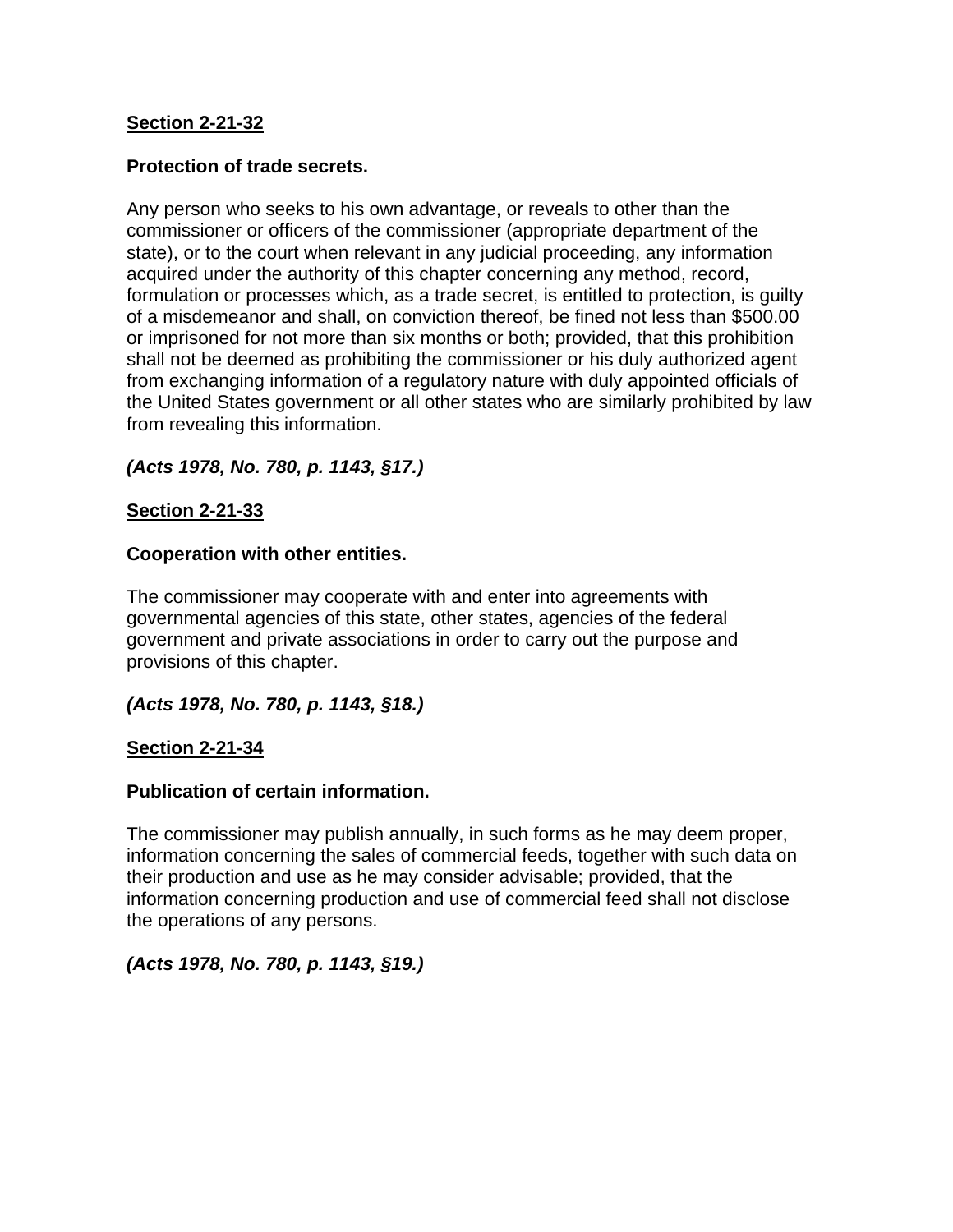### **Section 2-21-32**

#### **Protection of trade secrets.**

Any person who seeks to his own advantage, or reveals to other than the commissioner or officers of the commissioner (appropriate department of the state), or to the court when relevant in any judicial proceeding, any information acquired under the authority of this chapter concerning any method, record, formulation or processes which, as a trade secret, is entitled to protection, is guilty of a misdemeanor and shall, on conviction thereof, be fined not less than \$500.00 or imprisoned for not more than six months or both; provided, that this prohibition shall not be deemed as prohibiting the commissioner or his duly authorized agent from exchanging information of a regulatory nature with duly appointed officials of the United States government or all other states who are similarly prohibited by law from revealing this information.

*(Acts 1978, No. 780, p. 1143, §17.)*

### **Section 2-21-33**

#### **Cooperation with other entities.**

The commissioner may cooperate with and enter into agreements with governmental agencies of this state, other states, agencies of the federal government and private associations in order to carry out the purpose and provisions of this chapter.

*(Acts 1978, No. 780, p. 1143, §18.)*

### **Section 2-21-34**

#### **Publication of certain information.**

The commissioner may publish annually, in such forms as he may deem proper, information concerning the sales of commercial feeds, together with such data on their production and use as he may consider advisable; provided, that the information concerning production and use of commercial feed shall not disclose the operations of any persons.

*(Acts 1978, No. 780, p. 1143, §19.)*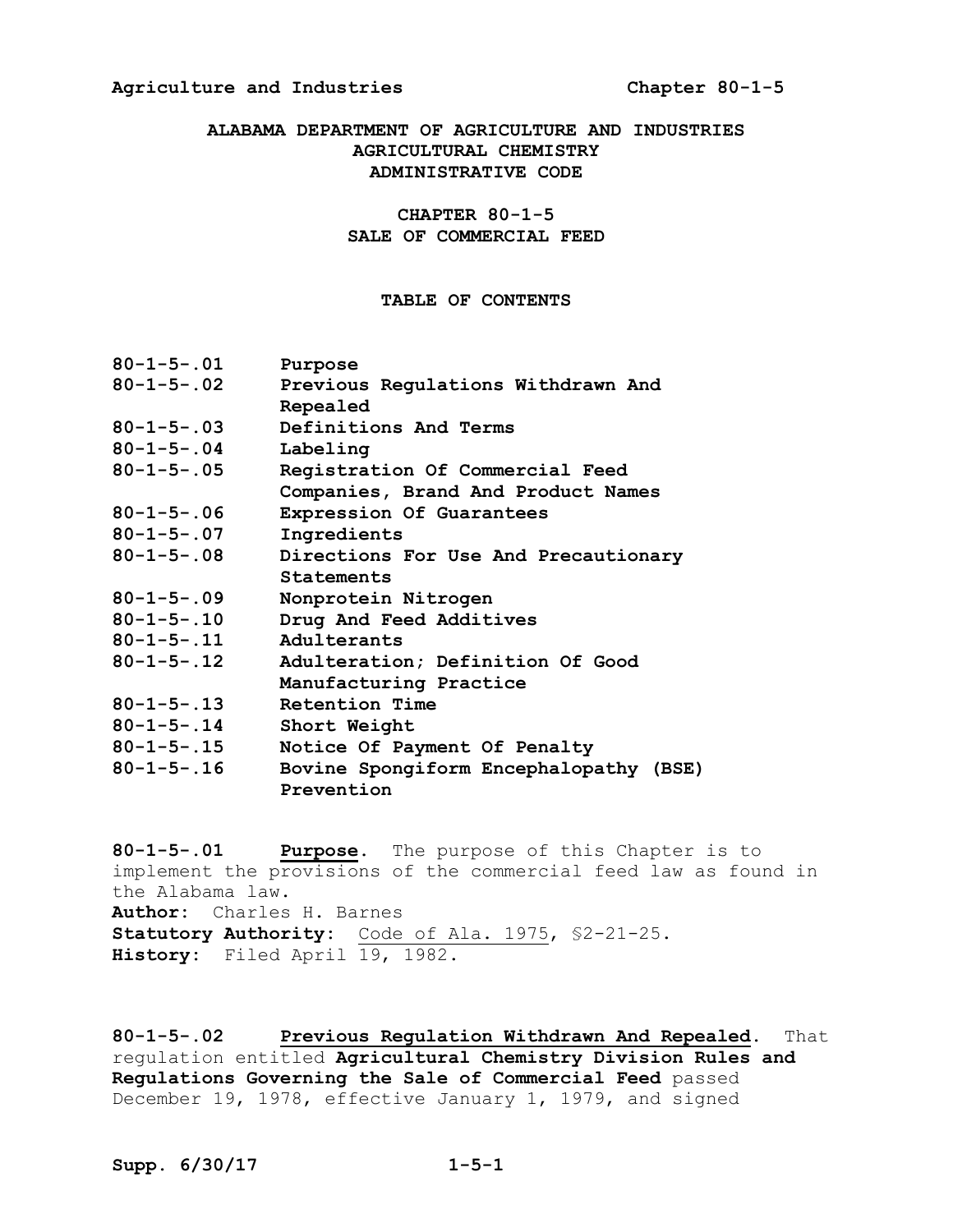#### **ALABAMA DEPARTMENT OF AGRICULTURE AND INDUSTRIES AGRICULTURAL CHEMISTRY ADMINISTRATIVE CODE**

#### **CHAPTER 80-1-5 SALE OF COMMERCIAL FEED**

#### **TABLE OF CONTENTS**

| $80 - 1 - 5 - .01$ | Purpose                                |
|--------------------|----------------------------------------|
| $80 - 1 - 5 - .02$ | Previous Regulations Withdrawn And     |
|                    | Repealed                               |
| $80 - 1 - 5 - .03$ | Definitions And Terms                  |
| $80 - 1 - 5 - .04$ | Labeling                               |
| $80 - 1 - 5 - .05$ | Registration Of Commercial Feed        |
|                    | Companies, Brand And Product Names     |
| $80 - 1 - 5 - .06$ | Expression Of Guarantees               |
| $80 - 1 - 5 - .07$ | Ingredients                            |
| $80 - 1 - 5 - .08$ | Directions For Use And Precautionary   |
|                    | Statements                             |
| $80 - 1 - 5 - .09$ | Nonprotein Nitrogen                    |
| $80 - 1 - 5 - .10$ | Drug And Feed Additives                |
| $80 - 1 - 5 - .11$ | Adulterants                            |
| $80 - 1 - 5 - .12$ | Adulteration; Definition Of Good       |
|                    | Manufacturing Practice                 |
| $80 - 1 - 5 - .13$ | Retention Time                         |
| $80 - 1 - 5 - .14$ | Short Weight                           |
| $80 - 1 - 5 - .15$ | Notice Of Payment Of Penalty           |
| $80 - 1 - 5 - .16$ | Bovine Spongiform Encephalopathy (BSE) |
|                    | Prevention                             |

**80-1-5-.01 Purpose.** The purpose of this Chapter is to implement the provisions of the commercial feed law as found in the Alabama law. **Author:** Charles H. Barnes **Statutory Authority:** Code of Ala. 1975, §2-21-25. History: Filed April 19, 1982.

**80-1-5-.02 Previous Regulation Withdrawn And Repealed.** That regulation entitled **Agricultural Chemistry Division Rules and Regulations Governing the Sale of Commercial Feed** passed December 19, 1978, effective January 1, 1979, and signed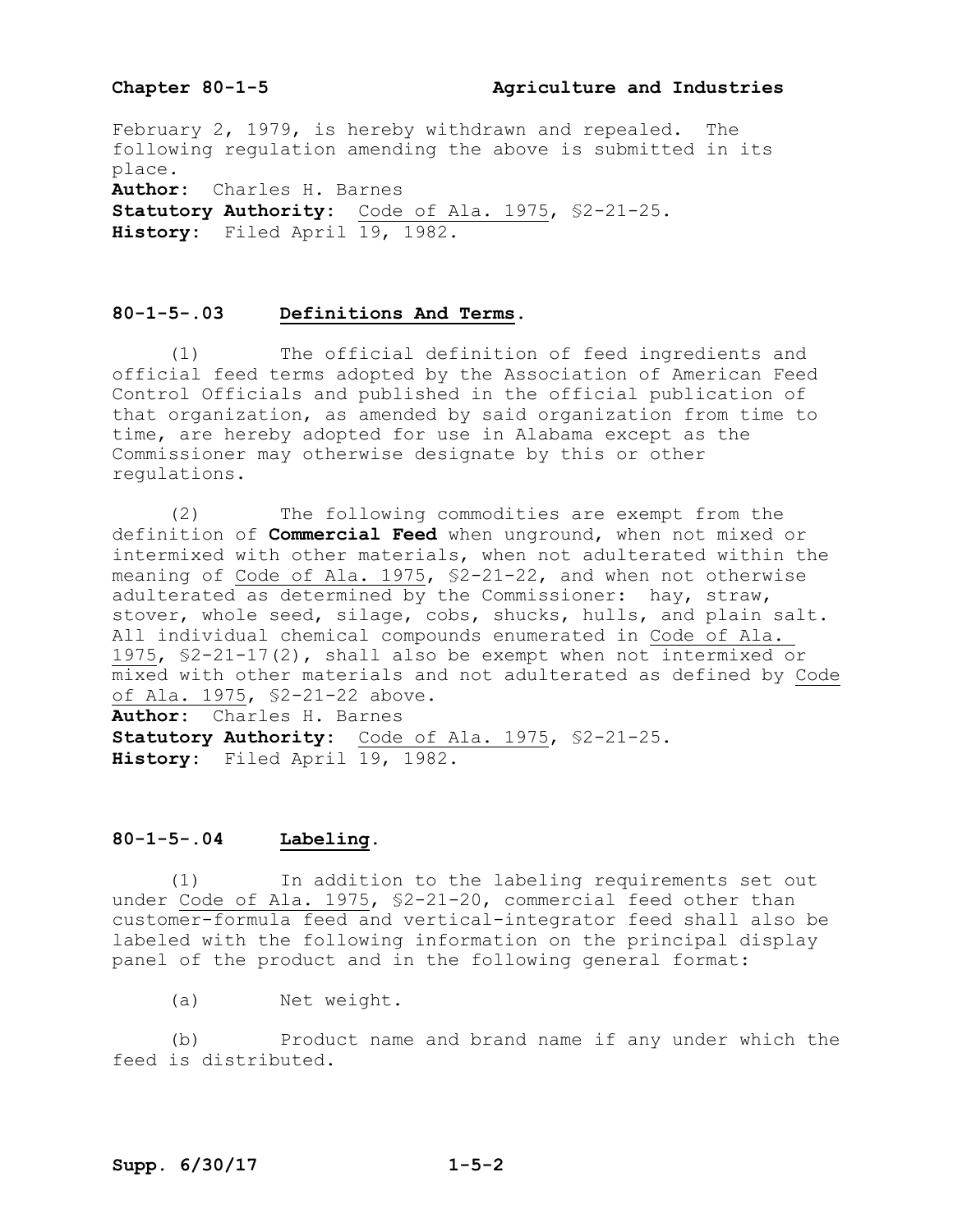#### Chapter 80-1-5 **Agriculture and Industries**

February 2, 1979, is hereby withdrawn and repealed. The following regulation amending the above is submitted in its place. **Author:** Charles H. Barnes **Statutory Authority:** Code of Ala. 1975, §2-21-25.

History: Filed April 19, 1982.

#### **80-1-5-.03 Definitions And Terms.**

(1) The official definition of feed ingredients and official feed terms adopted by the Association of American Feed Control Officials and published in the official publication of that organization, as amended by said organization from time to time, are hereby adopted for use in Alabama except as the Commissioner may otherwise designate by this or other regulations.

(2) The following commodities are exempt from the definition of **Commercial Feed** when unground, when not mixed or intermixed with other materials, when not adulterated within the meaning of Code of Ala. 1975, §2-21-22, and when not otherwise adulterated as determined by the Commissioner: hay, straw, stover, whole seed, silage, cobs, shucks, hulls, and plain salt. All individual chemical compounds enumerated in Code of Ala. 1975, §2-21-17(2), shall also be exempt when not intermixed or mixed with other materials and not adulterated as defined by Code of Ala. 1975, §2-21-22 above. **Author:** Charles H. Barnes

**Statutory Authority:** Code of Ala. 1975, §2-21-25. **History:** Filed April 19, 1982.

#### **80-1-5-.04 Labeling.**

(1) In addition to the labeling requirements set out under Code of Ala. 1975, §2-21-20, commercial feed other than customer-formula feed and vertical-integrator feed shall also be labeled with the following information on the principal display panel of the product and in the following general format:

(a) Net weight.

(b) Product name and brand name if any under which the feed is distributed.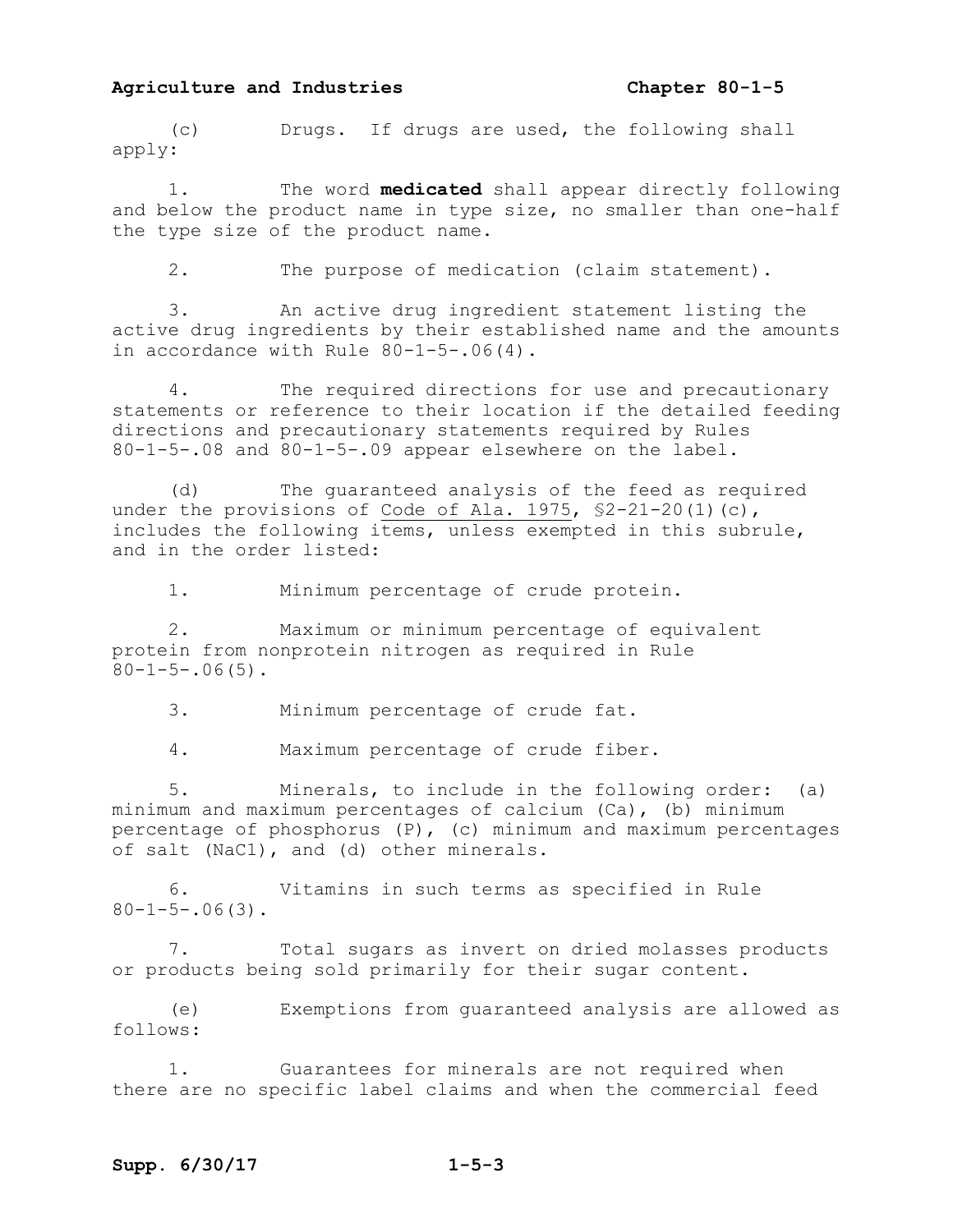(c) Drugs. If drugs are used, the following shall apply:

1. The word **medicated** shall appear directly following and below the product name in type size, no smaller than one-half the type size of the product name.

2. The purpose of medication (claim statement).

3. An active drug ingredient statement listing the active drug ingredients by their established name and the amounts in accordance with Rule 80-1-5-.06(4).

The required directions for use and precautionary statements or reference to their location if the detailed feeding directions and precautionary statements required by Rules 80-1-5-.08 and 80-1-5-.09 appear elsewhere on the label.

(d) The guaranteed analysis of the feed as required under the provisions of Code of Ala. 1975, \$2-21-20(1)(c), includes the following items, unless exempted in this subrule, and in the order listed:

1. Minimum percentage of crude protein.

2. Maximum or minimum percentage of equivalent protein from nonprotein nitrogen as required in Rule  $80-1-5-.06(5)$ .

3. Minimum percentage of crude fat.

4. Maximum percentage of crude fiber.

5. Minerals, to include in the following order: (a) minimum and maximum percentages of calcium (Ca), (b) minimum percentage of phosphorus (P), (c) minimum and maximum percentages of salt (NaC1), and (d) other minerals.

6. Vitamins in such terms as specified in Rule  $80-1-5-.06(3)$ .

7. Total sugars as invert on dried molasses products or products being sold primarily for their sugar content.

(e) Exemptions from guaranteed analysis are allowed as follows:

1. Guarantees for minerals are not required when there are no specific label claims and when the commercial feed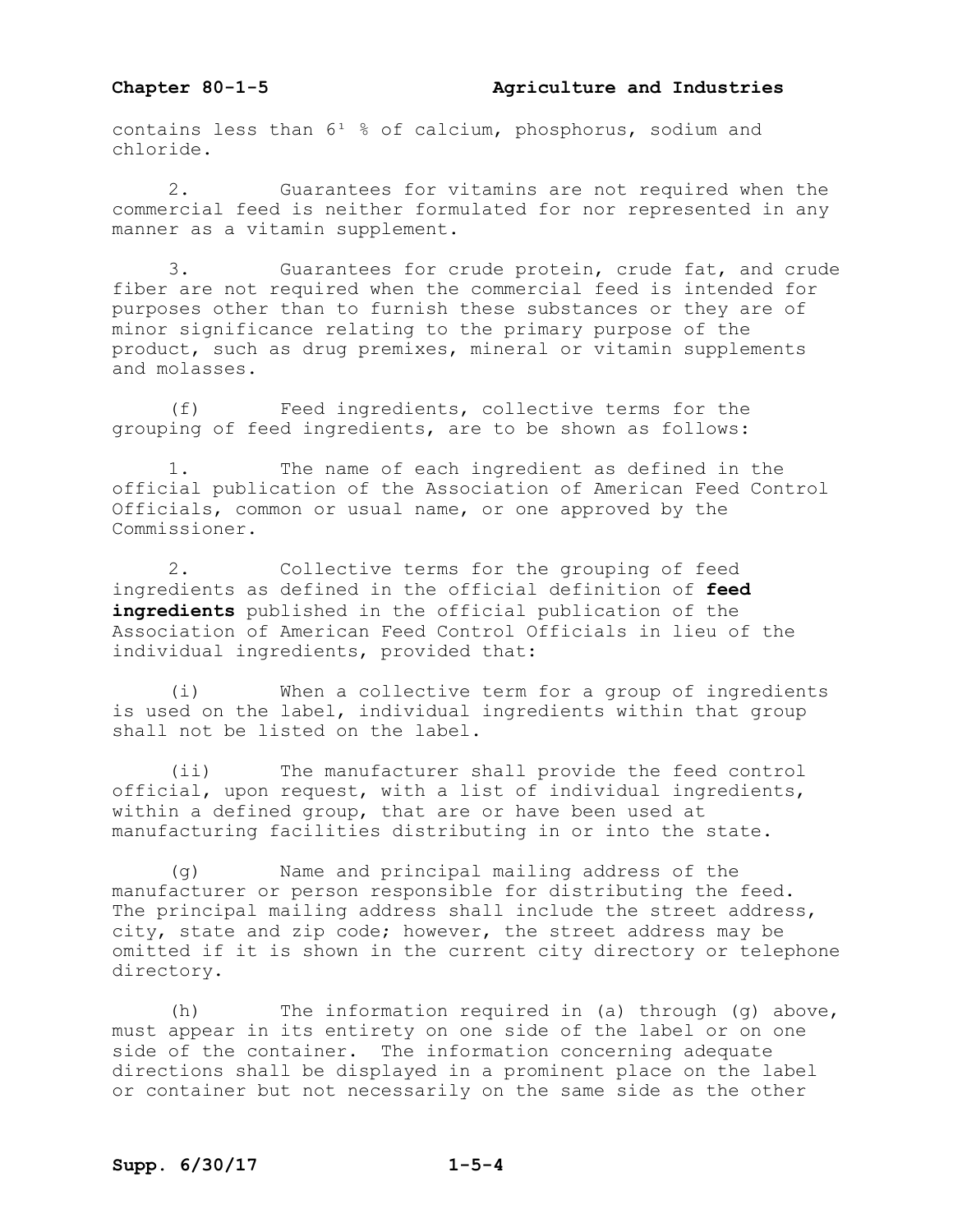contains less than  $6^1$  % of calcium, phosphorus, sodium and chloride.

2. Guarantees for vitamins are not required when the commercial feed is neither formulated for nor represented in any manner as a vitamin supplement.

3. Guarantees for crude protein, crude fat, and crude fiber are not required when the commercial feed is intended for purposes other than to furnish these substances or they are of minor significance relating to the primary purpose of the product, such as drug premixes, mineral or vitamin supplements and molasses.

(f) Feed ingredients, collective terms for the grouping of feed ingredients, are to be shown as follows:

1. The name of each ingredient as defined in the official publication of the Association of American Feed Control Officials, common or usual name, or one approved by the Commissioner.

2. Collective terms for the grouping of feed ingredients as defined in the official definition of **feed ingredients** published in the official publication of the Association of American Feed Control Officials in lieu of the individual ingredients, provided that:

(i) When a collective term for a group of ingredients is used on the label, individual ingredients within that group shall not be listed on the label.

(ii) The manufacturer shall provide the feed control official, upon request, with a list of individual ingredients, within a defined group, that are or have been used at manufacturing facilities distributing in or into the state.

(g) Name and principal mailing address of the manufacturer or person responsible for distributing the feed. The principal mailing address shall include the street address, city, state and zip code; however, the street address may be omitted if it is shown in the current city directory or telephone directory.

(h) The information required in (a) through (g) above, must appear in its entirety on one side of the label or on one side of the container. The information concerning adequate directions shall be displayed in a prominent place on the label or container but not necessarily on the same side as the other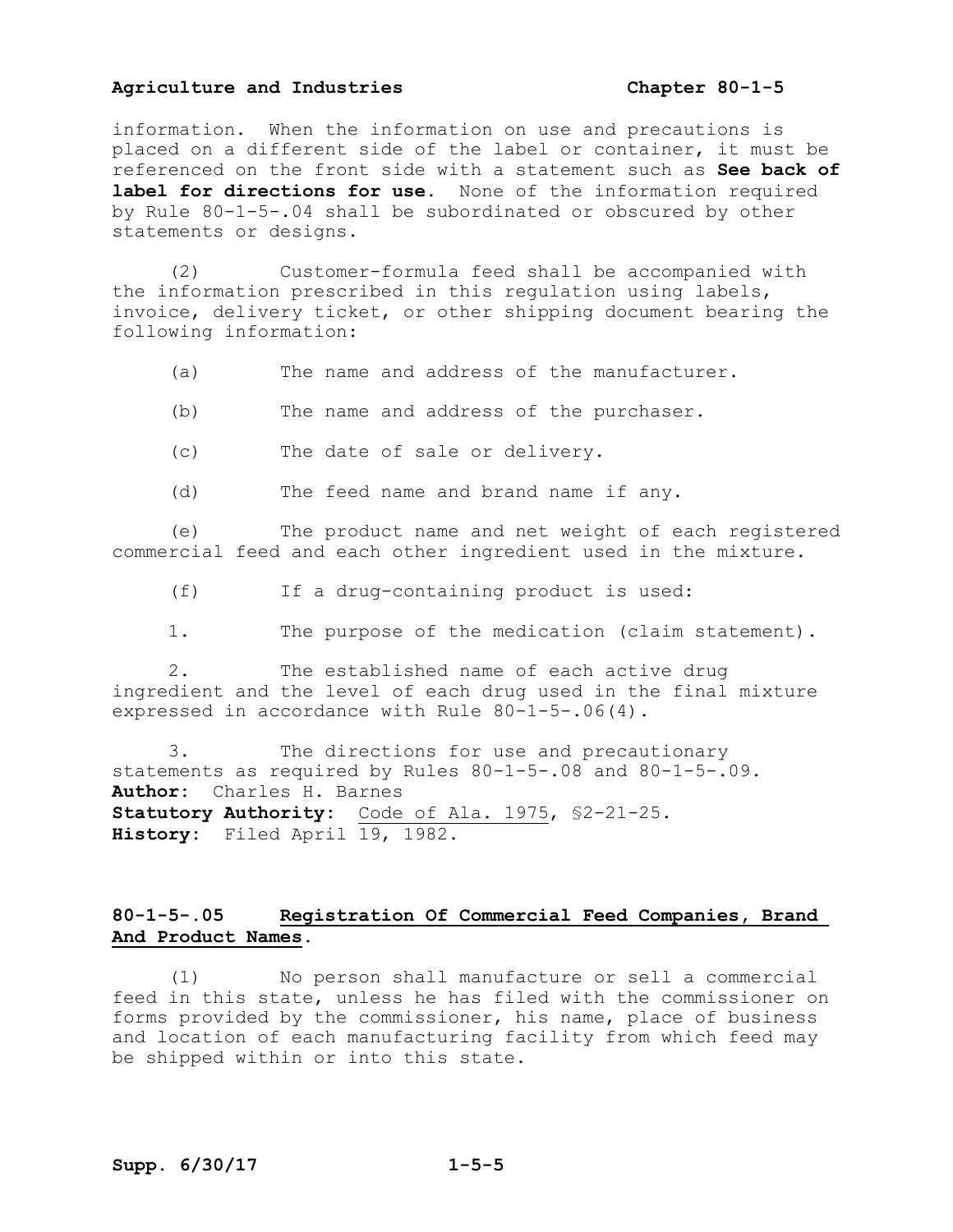information. When the information on use and precautions is placed on a different side of the label or container, it must be referenced on the front side with a statement such as **See back of label for directions for use.** None of the information required by Rule 80-1-5-.04 shall be subordinated or obscured by other statements or designs.

(2) Customer-formula feed shall be accompanied with the information prescribed in this regulation using labels, invoice, delivery ticket, or other shipping document bearing the following information:

- (a) The name and address of the manufacturer.
- (b) The name and address of the purchaser.
- (c) The date of sale or delivery.
- (d) The feed name and brand name if any.

(e) The product name and net weight of each registered commercial feed and each other ingredient used in the mixture.

(f) If a drug-containing product is used:

1. The purpose of the medication (claim statement).

2. The established name of each active drug ingredient and the level of each drug used in the final mixture expressed in accordance with Rule 80-1-5-.06(4).

3. The directions for use and precautionary statements as required by Rules 80-1-5-.08 and 80-1-5-.09. **Author:** Charles H. Barnes **Statutory Authority:** Code of Ala. 1975, §2-21-25. **History:** Filed April 19, 1982.

#### **80-1-5-.05 Registration Of Commercial Feed Companies, Brand And Product Names.**

(1) No person shall manufacture or sell a commercial feed in this state, unless he has filed with the commissioner on forms provided by the commissioner, his name, place of business and location of each manufacturing facility from which feed may be shipped within or into this state.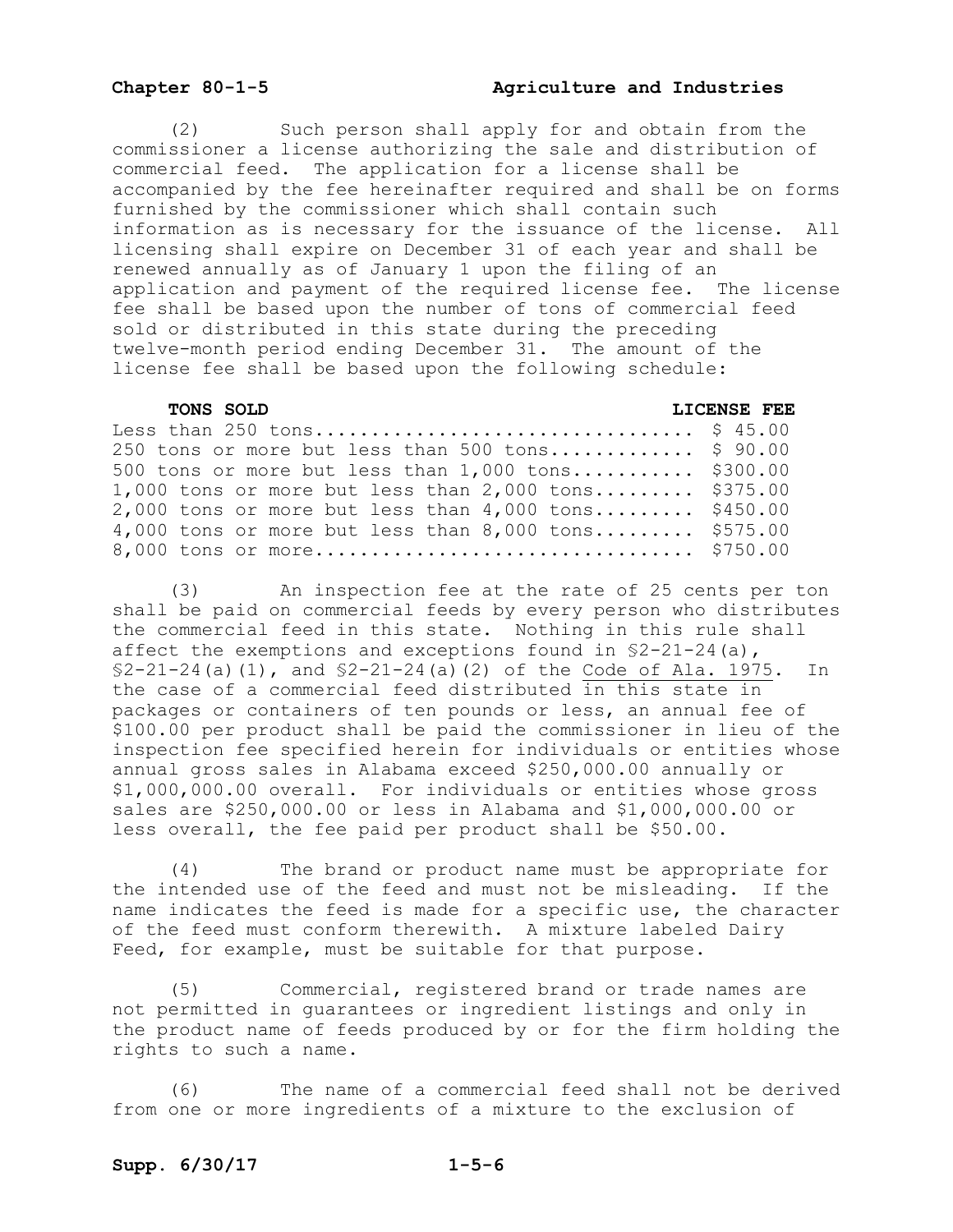#### Chapter 80-1-5 **Agriculture and Industries**

(2) Such person shall apply for and obtain from the commissioner a license authorizing the sale and distribution of commercial feed. The application for a license shall be accompanied by the fee hereinafter required and shall be on forms furnished by the commissioner which shall contain such information as is necessary for the issuance of the license. All licensing shall expire on December 31 of each year and shall be renewed annually as of January 1 upon the filing of an application and payment of the required license fee. The license fee shall be based upon the number of tons of commercial feed sold or distributed in this state during the preceding twelve-month period ending December 31. The amount of the license fee shall be based upon the following schedule:

#### **TONS SOLD LICENSE FEE**

| 250 tons or more but less than 500 tons $$90.00$       |  |
|--------------------------------------------------------|--|
| 500 tons or more but less than $1,000$ tons \$300.00   |  |
| 1,000 tons or more but less than $2,000$ tons \$375.00 |  |
| 2,000 tons or more but less than $4,000$ tons \$450.00 |  |
| 4,000 tons or more but less than $8,000$ tons \$575.00 |  |
|                                                        |  |

(3) An inspection fee at the rate of 25 cents per ton shall be paid on commercial feeds by every person who distributes the commercial feed in this state. Nothing in this rule shall affect the exemptions and exceptions found in §2-21-24(a),  $$2-21-24(a)(1)$ , and  $$2-21-24(a)(2)$  of the Code of Ala. 1975. In the case of a commercial feed distributed in this state in packages or containers of ten pounds or less, an annual fee of \$100.00 per product shall be paid the commissioner in lieu of the inspection fee specified herein for individuals or entities whose annual gross sales in Alabama exceed \$250,000.00 annually or \$1,000,000.00 overall. For individuals or entities whose gross sales are \$250,000.00 or less in Alabama and \$1,000,000.00 or less overall, the fee paid per product shall be \$50.00.

(4) The brand or product name must be appropriate for the intended use of the feed and must not be misleading. If the name indicates the feed is made for a specific use, the character of the feed must conform therewith. A mixture labeled Dairy Feed, for example, must be suitable for that purpose.

(5) Commercial, registered brand or trade names are not permitted in guarantees or ingredient listings and only in the product name of feeds produced by or for the firm holding the rights to such a name.

(6) The name of a commercial feed shall not be derived from one or more ingredients of a mixture to the exclusion of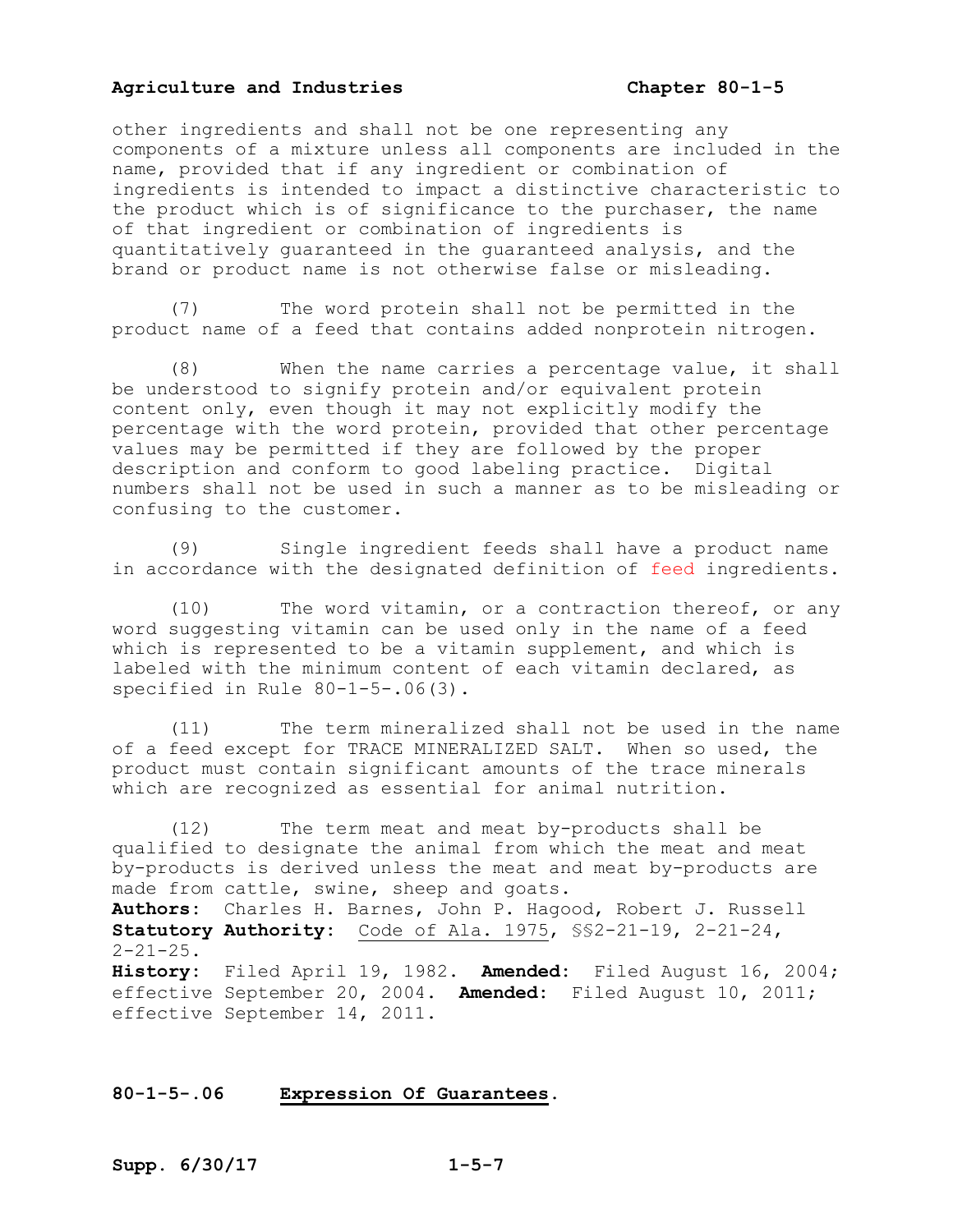other ingredients and shall not be one representing any components of a mixture unless all components are included in the name, provided that if any ingredient or combination of ingredients is intended to impact a distinctive characteristic to the product which is of significance to the purchaser, the name of that ingredient or combination of ingredients is quantitatively guaranteed in the guaranteed analysis, and the brand or product name is not otherwise false or misleading.

(7) The word protein shall not be permitted in the product name of a feed that contains added nonprotein nitrogen.

(8) When the name carries a percentage value, it shall be understood to signify protein and/or equivalent protein content only, even though it may not explicitly modify the percentage with the word protein, provided that other percentage values may be permitted if they are followed by the proper description and conform to good labeling practice. Digital numbers shall not be used in such a manner as to be misleading or confusing to the customer.

(9) Single ingredient feeds shall have a product name in accordance with the designated definition of feed ingredients.

(10) The word vitamin, or a contraction thereof, or any word suggesting vitamin can be used only in the name of a feed which is represented to be a vitamin supplement, and which is labeled with the minimum content of each vitamin declared, as specified in Rule 80-1-5-.06(3).

(11) The term mineralized shall not be used in the name of a feed except for TRACE MINERALIZED SALT. When so used, the product must contain significant amounts of the trace minerals which are recognized as essential for animal nutrition.

(12) The term meat and meat by-products shall be qualified to designate the animal from which the meat and meat by-products is derived unless the meat and meat by-products are made from cattle, swine, sheep and goats. **Authors:** Charles H. Barnes, John P. Hagood, Robert J. Russell **Statutory Authority:** Code of Ala. 1975, §§2-21-19, 2-21-24,  $2 - 21 - 25$ . **History:** Filed April 19, 1982. **Amended:** Filed August 16, 2004; effective September 20, 2004. **Amended:** Filed August 10, 2011; effective September 14, 2011.

#### **80-1-5-.06 Expression Of Guarantees.**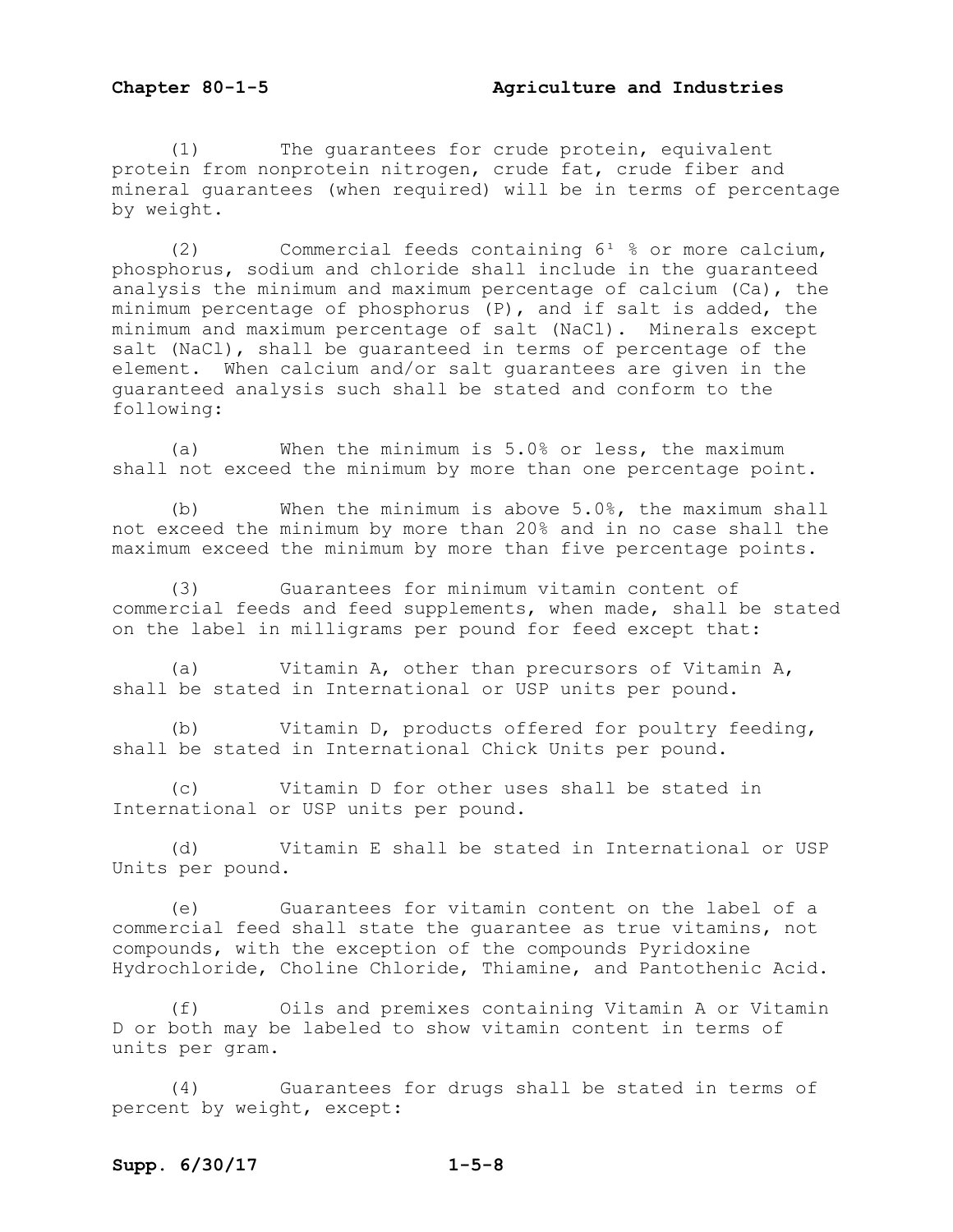(1) The guarantees for crude protein, equivalent protein from nonprotein nitrogen, crude fat, crude fiber and mineral guarantees (when required) will be in terms of percentage by weight.

(2) Commercial feeds containing  $6^1$  % or more calcium, phosphorus, sodium and chloride shall include in the guaranteed analysis the minimum and maximum percentage of calcium (Ca), the minimum percentage of phosphorus (P), and if salt is added, the minimum and maximum percentage of salt (NaCl). Minerals except salt (NaCl), shall be quaranteed in terms of percentage of the element. When calcium and/or salt guarantees are given in the guaranteed analysis such shall be stated and conform to the following:

(a) When the minimum is 5.0% or less, the maximum shall not exceed the minimum by more than one percentage point.

(b) When the minimum is above 5.0%, the maximum shall not exceed the minimum by more than 20% and in no case shall the maximum exceed the minimum by more than five percentage points.

(3) Guarantees for minimum vitamin content of commercial feeds and feed supplements, when made, shall be stated on the label in milligrams per pound for feed except that:

(a) Vitamin A, other than precursors of Vitamin A, shall be stated in International or USP units per pound.

(b) Vitamin D, products offered for poultry feeding, shall be stated in International Chick Units per pound.

(c) Vitamin D for other uses shall be stated in International or USP units per pound.

(d) Vitamin E shall be stated in International or USP Units per pound.

(e) Guarantees for vitamin content on the label of a commercial feed shall state the guarantee as true vitamins, not compounds, with the exception of the compounds Pyridoxine Hydrochloride, Choline Chloride, Thiamine, and Pantothenic Acid.

(f) Oils and premixes containing Vitamin A or Vitamin D or both may be labeled to show vitamin content in terms of units per gram.

(4) Guarantees for drugs shall be stated in terms of percent by weight, except: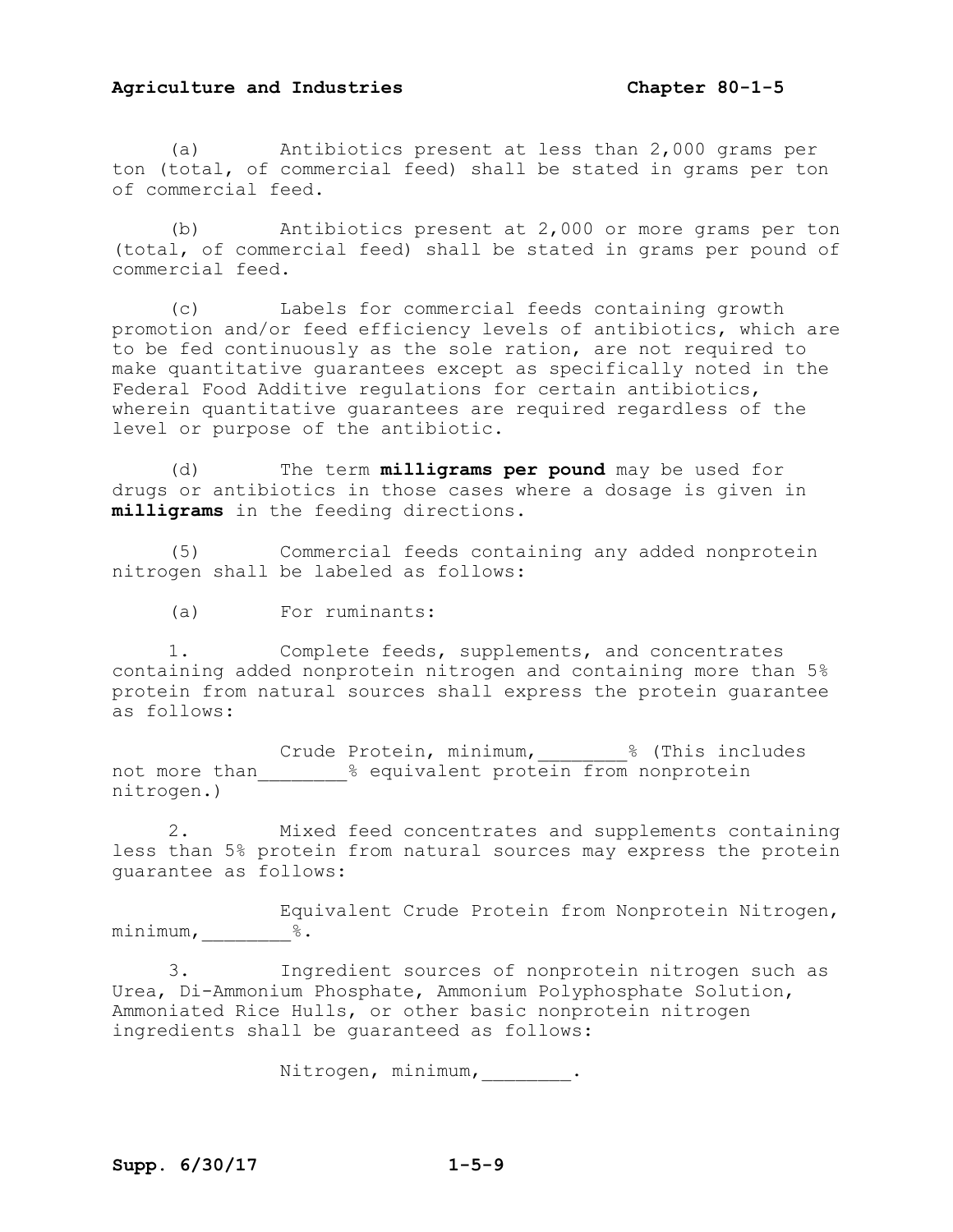(a) Antibiotics present at less than 2,000 grams per ton (total, of commercial feed) shall be stated in grams per ton of commercial feed.

(b) Antibiotics present at 2,000 or more grams per ton (total, of commercial feed) shall be stated in grams per pound of commercial feed.

(c) Labels for commercial feeds containing growth promotion and/or feed efficiency levels of antibiotics, which are to be fed continuously as the sole ration, are not required to make quantitative guarantees except as specifically noted in the Federal Food Additive regulations for certain antibiotics, wherein quantitative guarantees are required regardless of the level or purpose of the antibiotic.

(d) The term **milligrams per pound** may be used for drugs or antibiotics in those cases where a dosage is given in **milligrams** in the feeding directions.

(5) Commercial feeds containing any added nonprotein nitrogen shall be labeled as follows:

(a) For ruminants:

1. Complete feeds, supplements, and concentrates containing added nonprotein nitrogen and containing more than 5% protein from natural sources shall express the protein guarantee as follows:

Crude Protein, minimum,  $\frac{1}{8}$  (This includes not more than  $\frac{2}{8}$  equivalent protein from nonprotein nitrogen.)

2. Mixed feed concentrates and supplements containing less than 5% protein from natural sources may express the protein guarantee as follows:

Equivalent Crude Protein from Nonprotein Nitrogen, minimum,  $\frac{8}{100}$ .

3. Ingredient sources of nonprotein nitrogen such as Urea, Di-Ammonium Phosphate, Ammonium Polyphosphate Solution, Ammoniated Rice Hulls, or other basic nonprotein nitrogen ingredients shall be guaranteed as follows:

Nitrogen, minimum,\_\_\_\_\_\_\_\_.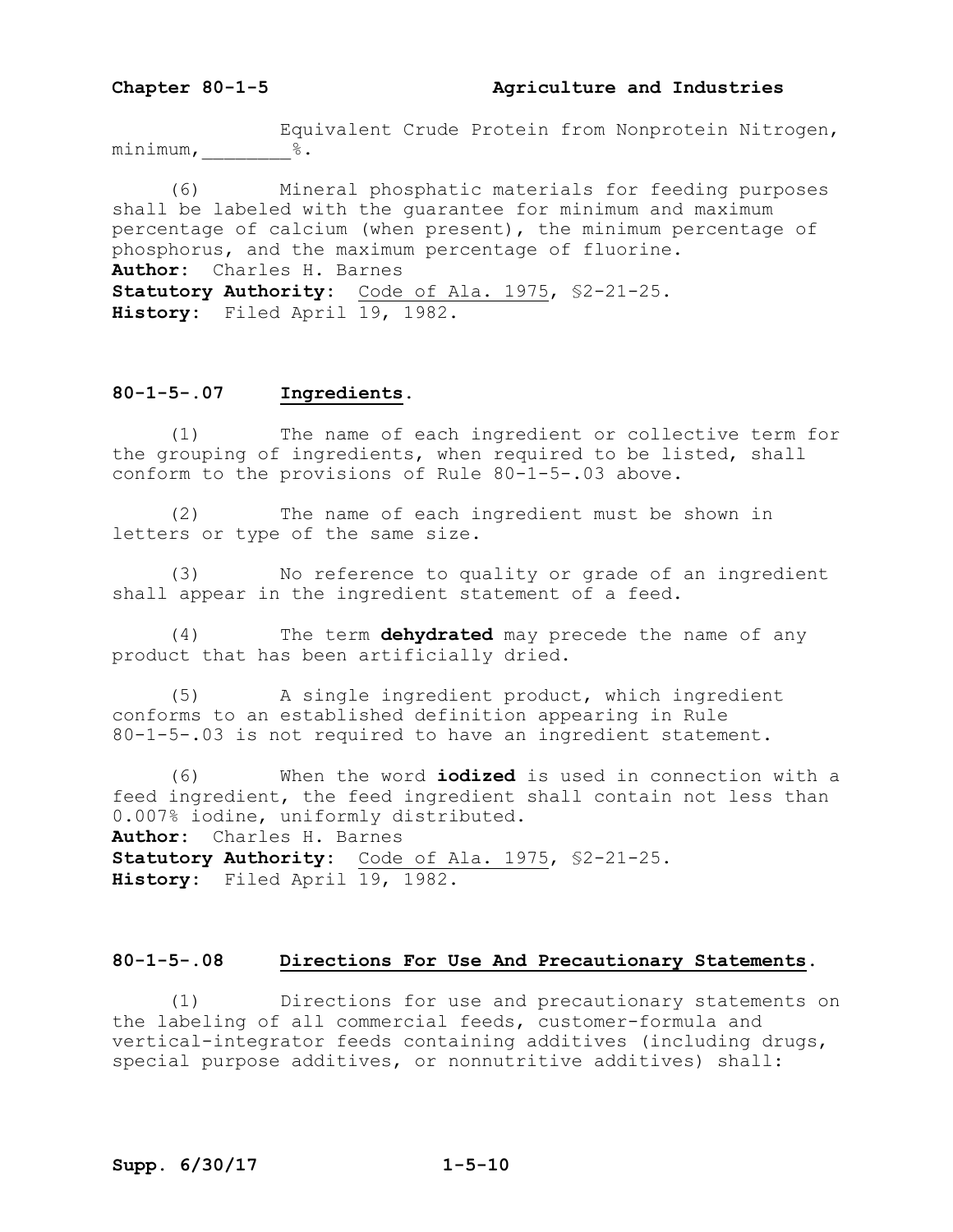Equivalent Crude Protein from Nonprotein Nitrogen,  $minimum, \underline{\hspace{2cm}} 8.$ 

(6) Mineral phosphatic materials for feeding purposes shall be labeled with the guarantee for minimum and maximum percentage of calcium (when present), the minimum percentage of phosphorus, and the maximum percentage of fluorine. **Author:** Charles H. Barnes **Statutory Authority:** Code of Ala. 1975, §2-21-25. History: Filed April 19, 1982.

#### **80-1-5-.07 Ingredients.**

(1) The name of each ingredient or collective term for the grouping of ingredients, when required to be listed, shall conform to the provisions of Rule 80-1-5-.03 above.

(2) The name of each ingredient must be shown in letters or type of the same size.

(3) No reference to quality or grade of an ingredient shall appear in the ingredient statement of a feed.

(4) The term **dehydrated** may precede the name of any product that has been artificially dried.

(5) A single ingredient product, which ingredient conforms to an established definition appearing in Rule 80-1-5-.03 is not required to have an ingredient statement.

(6) When the word **iodized** is used in connection with a feed ingredient, the feed ingredient shall contain not less than 0.007% iodine, uniformly distributed. **Author:** Charles H. Barnes **Statutory Authority:** Code of Ala. 1975, §2-21-25. **History:** Filed April 19, 1982.

#### **80-1-5-.08 Directions For Use And Precautionary Statements.**

(1) Directions for use and precautionary statements on the labeling of all commercial feeds, customer-formula and vertical-integrator feeds containing additives (including drugs, special purpose additives, or nonnutritive additives) shall: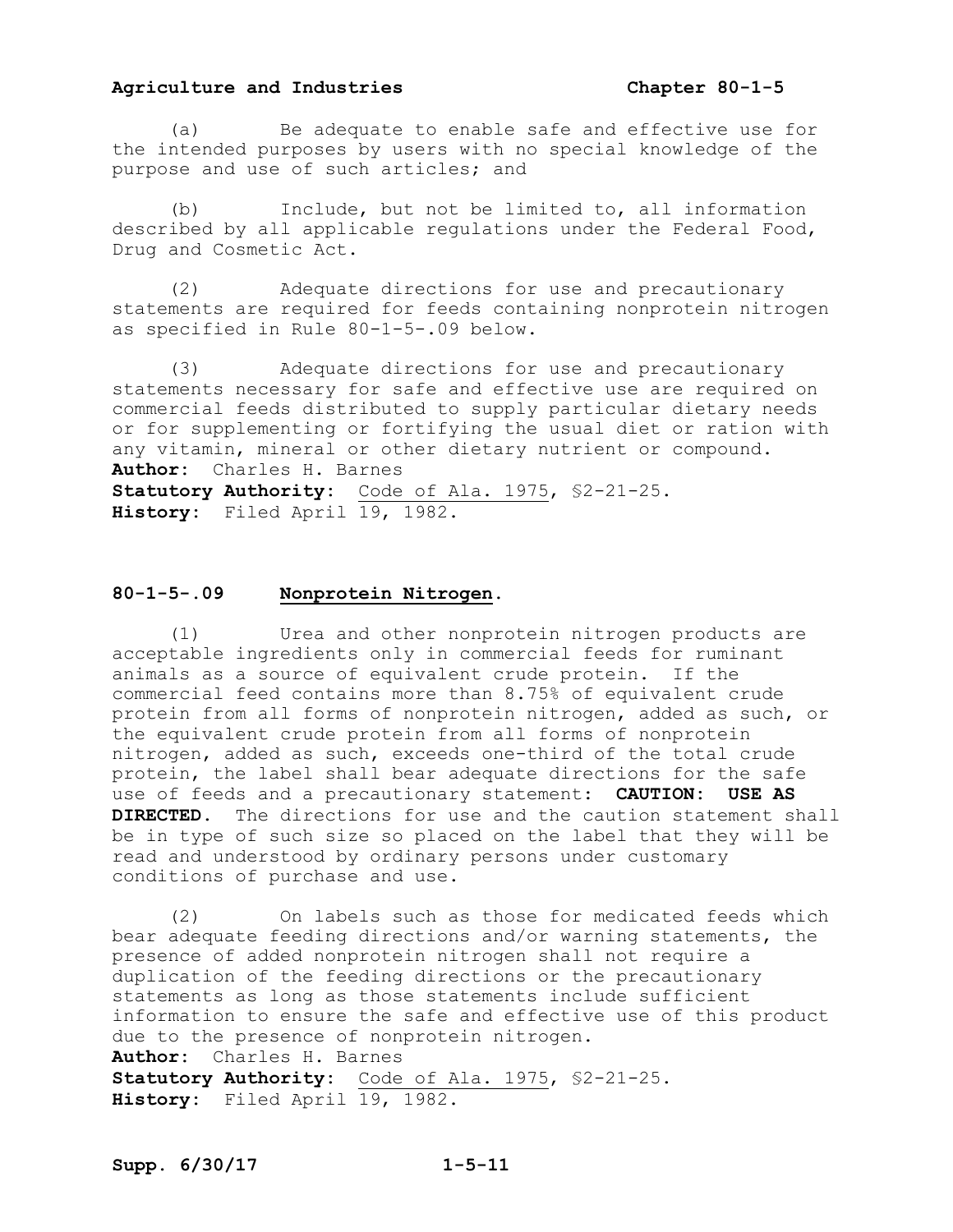(a) Be adequate to enable safe and effective use for the intended purposes by users with no special knowledge of the purpose and use of such articles; and

(b) Include, but not be limited to, all information described by all applicable regulations under the Federal Food, Drug and Cosmetic Act.

(2) Adequate directions for use and precautionary statements are required for feeds containing nonprotein nitrogen as specified in Rule 80-1-5-.09 below.

(3) Adequate directions for use and precautionary statements necessary for safe and effective use are required on commercial feeds distributed to supply particular dietary needs or for supplementing or fortifying the usual diet or ration with any vitamin, mineral or other dietary nutrient or compound. **Author:** Charles H. Barnes **Statutory Authority:** Code of Ala. 1975, §2-21-25. **History:** Filed April 19, 1982.

#### **80-1-5-.09 Nonprotein Nitrogen.**

(1) Urea and other nonprotein nitrogen products are acceptable ingredients only in commercial feeds for ruminant animals as a source of equivalent crude protein. If the commercial feed contains more than 8.75% of equivalent crude protein from all forms of nonprotein nitrogen, added as such, or the equivalent crude protein from all forms of nonprotein nitrogen, added as such, exceeds one-third of the total crude protein, the label shall bear adequate directions for the safe use of feeds and a precautionary statement: **CAUTION: USE AS DIRECTED.** The directions for use and the caution statement shall be in type of such size so placed on the label that they will be read and understood by ordinary persons under customary conditions of purchase and use.

(2) On labels such as those for medicated feeds which bear adequate feeding directions and/or warning statements, the presence of added nonprotein nitrogen shall not require a duplication of the feeding directions or the precautionary statements as long as those statements include sufficient information to ensure the safe and effective use of this product due to the presence of nonprotein nitrogen. **Author:** Charles H. Barnes **Statutory Authority:** Code of Ala. 1975, §2-21-25. History: Filed April 19, 1982.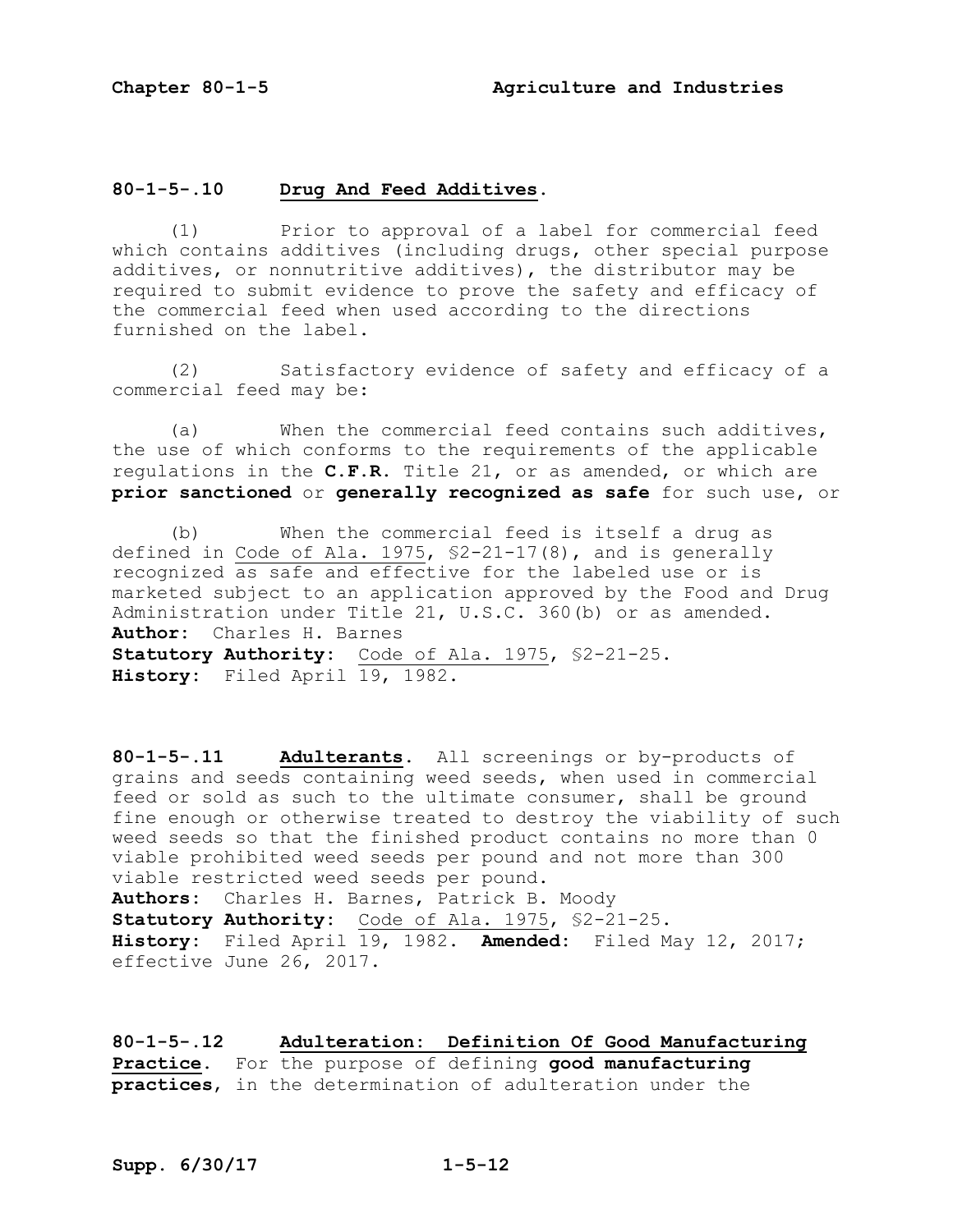#### **80-1-5-.10 Drug And Feed Additives.**

(1) Prior to approval of a label for commercial feed which contains additives (including drugs, other special purpose additives, or nonnutritive additives), the distributor may be required to submit evidence to prove the safety and efficacy of the commercial feed when used according to the directions furnished on the label.

(2) Satisfactory evidence of safety and efficacy of a commercial feed may be:

(a) When the commercial feed contains such additives, the use of which conforms to the requirements of the applicable regulations in the **C.F.R.** Title 21, or as amended, or which are **prior sanctioned** or **generally recognized as safe** for such use, or

(b) When the commercial feed is itself a drug as defined in Code of Ala. 1975, §2-21-17(8), and is generally recognized as safe and effective for the labeled use or is marketed subject to an application approved by the Food and Drug Administration under Title 21, U.S.C. 360(b) or as amended. **Author:** Charles H. Barnes **Statutory Authority:** Code of Ala. 1975, §2-21-25. **History:** Filed April 19, 1982.

**80-1-5-.11 Adulterants.** All screenings or by-products of grains and seeds containing weed seeds, when used in commercial feed or sold as such to the ultimate consumer, shall be ground fine enough or otherwise treated to destroy the viability of such weed seeds so that the finished product contains no more than 0 viable prohibited weed seeds per pound and not more than 300 viable restricted weed seeds per pound. **Authors:** Charles H. Barnes, Patrick B. Moody **Statutory Authority:** Code of Ala. 1975, \$2-21-25. **History:** Filed April 19, 1982. **Amended:** Filed May 12, 2017; effective June 26, 2017.

**80-1-5-.12 Adulteration: Definition Of Good Manufacturing Practice.** For the purpose of defining **good manufacturing practices**, in the determination of adulteration under the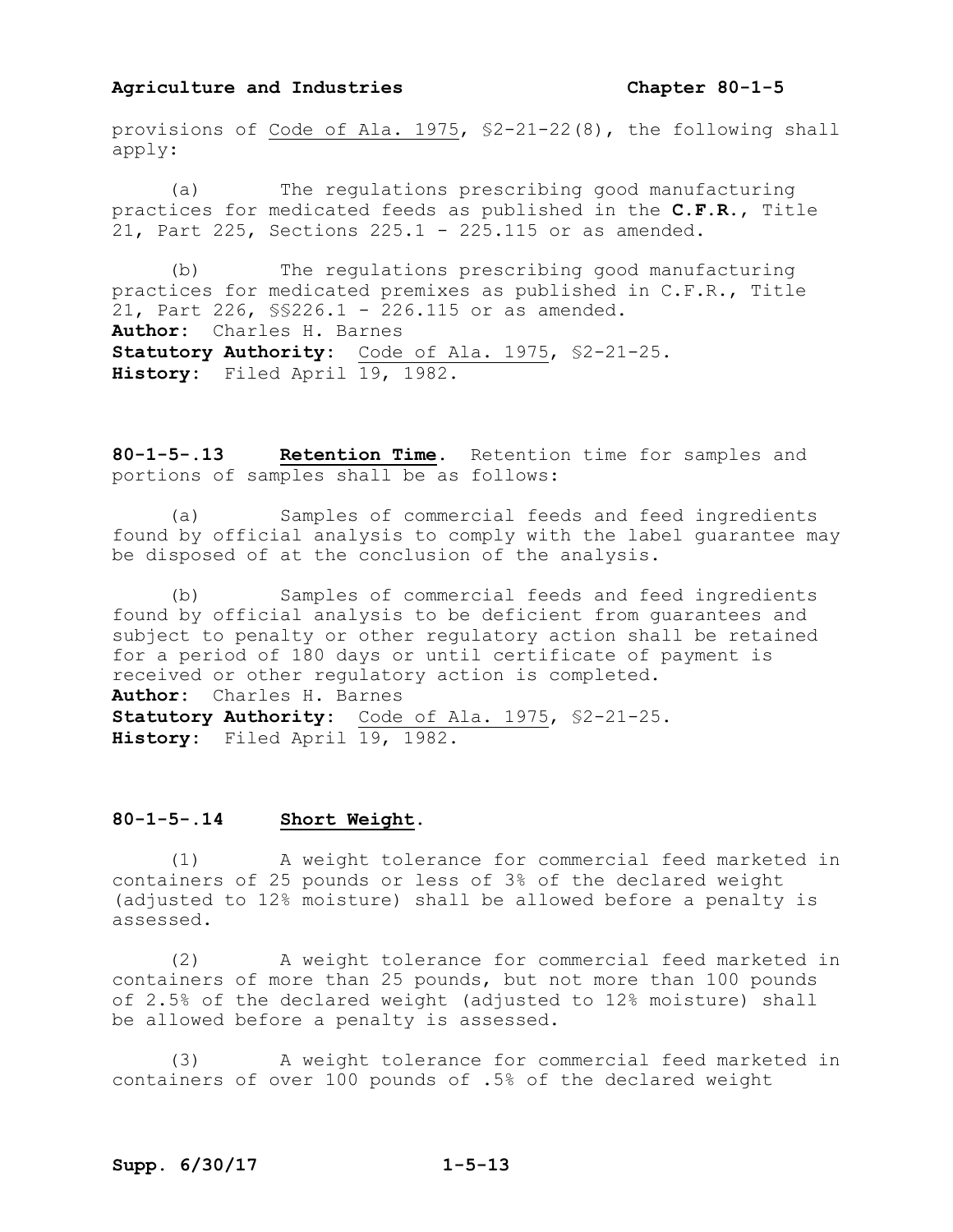provisions of Code of Ala. 1975, §2-21-22(8), the following shall apply:

(a) The regulations prescribing good manufacturing practices for medicated feeds as published in the **C.F.R.**, Title 21, Part 225, Sections 225.1 - 225.115 or as amended.

(b) The regulations prescribing good manufacturing practices for medicated premixes as published in C.F.R., Title 21, Part 226, §§226.1 - 226.115 or as amended. **Author:** Charles H. Barnes Statutory Authority: Code of Ala. 1975, \$2-21-25. **History:** Filed April 19, 1982.

**80-1-5-.13 Retention Time.** Retention time for samples and portions of samples shall be as follows:

(a) Samples of commercial feeds and feed ingredients found by official analysis to comply with the label guarantee may be disposed of at the conclusion of the analysis.

(b) Samples of commercial feeds and feed ingredients found by official analysis to be deficient from guarantees and subject to penalty or other regulatory action shall be retained for a period of 180 days or until certificate of payment is received or other regulatory action is completed. **Author:** Charles H. Barnes **Statutory Authority:** Code of Ala. 1975, §2-21-25. **History:** Filed April 19, 1982.

#### **80-1-5-.14 Short Weight.**

(1) A weight tolerance for commercial feed marketed in containers of 25 pounds or less of 3% of the declared weight (adjusted to 12% moisture) shall be allowed before a penalty is assessed.

(2) A weight tolerance for commercial feed marketed in containers of more than 25 pounds, but not more than 100 pounds of 2.5% of the declared weight (adjusted to 12% moisture) shall be allowed before a penalty is assessed.

(3) A weight tolerance for commercial feed marketed in containers of over 100 pounds of .5% of the declared weight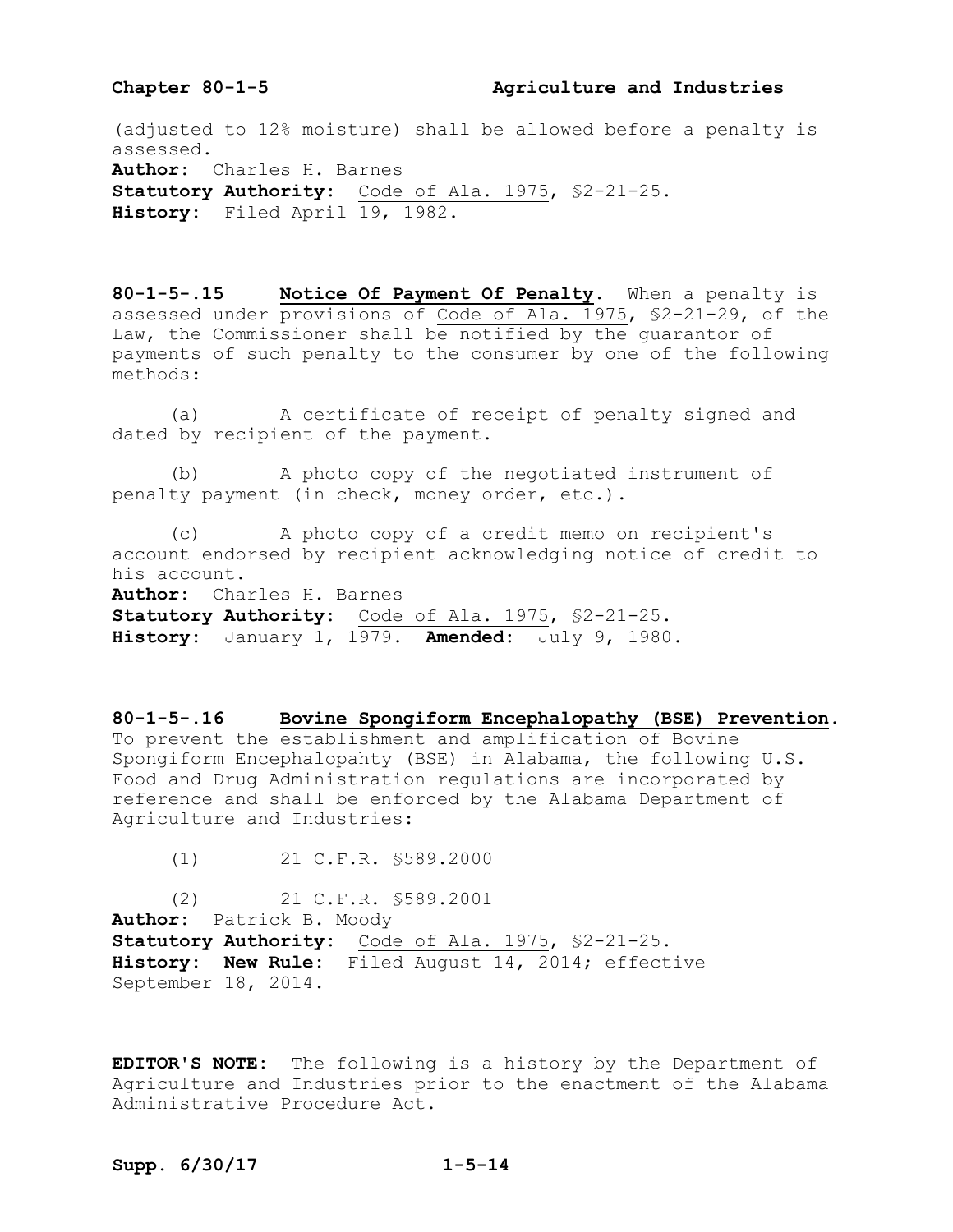#### Chapter 80-1-5 **Agriculture and Industries**

(adjusted to 12% moisture) shall be allowed before a penalty is assessed. **Author:** Charles H. Barnes **Statutory Authority:** Code of Ala. 1975, §2-21-25. **History:** Filed April 19, 1982.

**80-1-5-.15 Notice Of Payment Of Penalty.** When a penalty is assessed under provisions of Code of Ala. 1975, §2-21-29, of the Law, the Commissioner shall be notified by the guarantor of payments of such penalty to the consumer by one of the following methods:

(a) A certificate of receipt of penalty signed and dated by recipient of the payment.

(b) A photo copy of the negotiated instrument of penalty payment (in check, money order, etc.).

(c) A photo copy of a credit memo on recipient's account endorsed by recipient acknowledging notice of credit to his account. **Author:** Charles H. Barnes

**Statutory Authority:** Code of Ala. 1975, §2-21-25. **History:** January 1, 1979. **Amended:** July 9, 1980.

**80-1-5-.16 Bovine Spongiform Encephalopathy (BSE) Prevention.**  To prevent the establishment and amplification of Bovine Spongiform Encephalopahty (BSE) in Alabama, the following U.S. Food and Drug Administration regulations are incorporated by reference and shall be enforced by the Alabama Department of Agriculture and Industries:

(1) 21 C.F.R. §589.2000

(2) 21 C.F.R. §589.2001 **Author:** Patrick B. Moody **Statutory Authority:** Code of Ala. 1975, §2-21-25. **History: New Rule:** Filed August 14, 2014; effective September 18, 2014.

**EDITOR'S NOTE:** The following is a history by the Department of Agriculture and Industries prior to the enactment of the Alabama Administrative Procedure Act.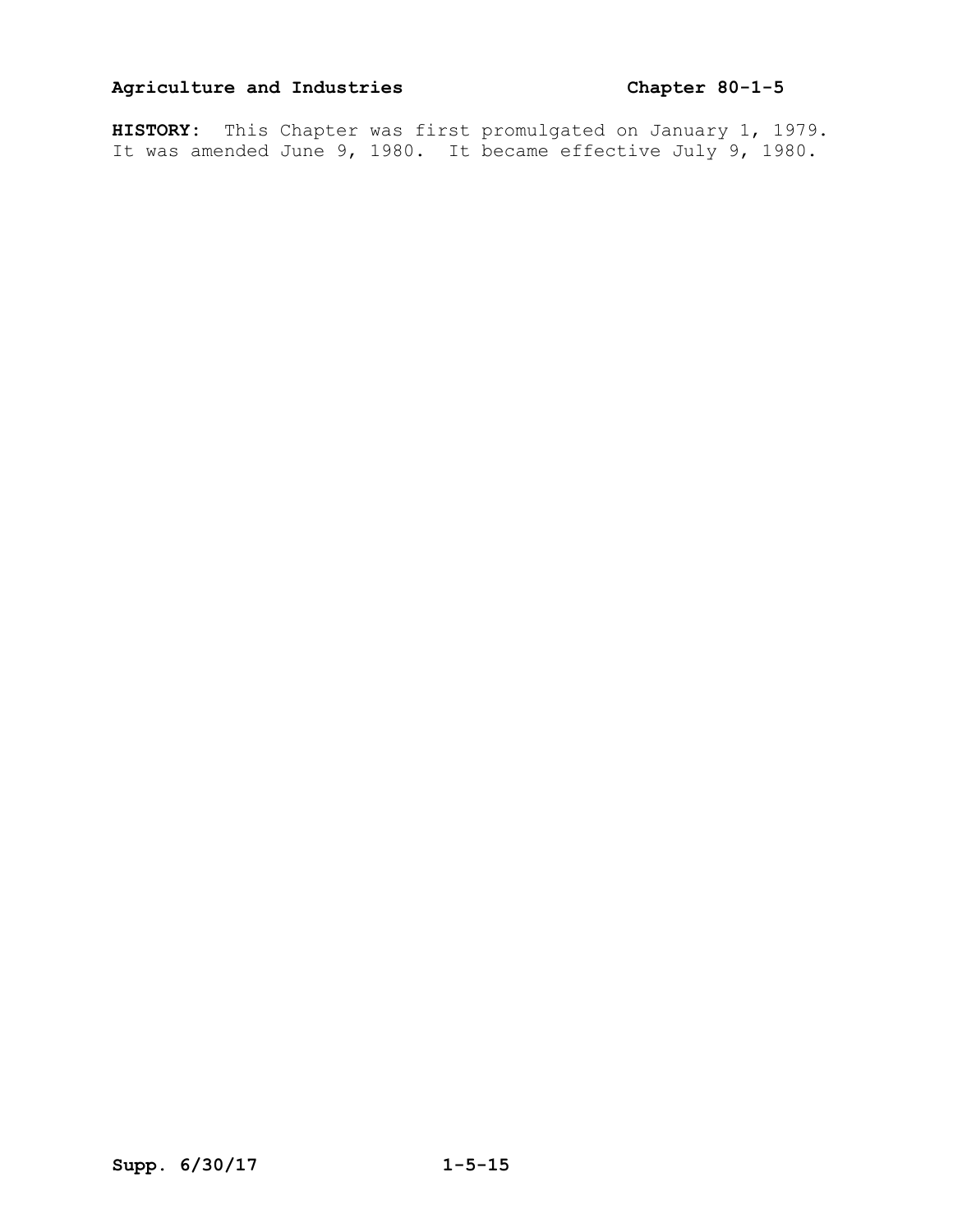**HISTORY:** This Chapter was first promulgated on January 1, 1979. It was amended June 9, 1980. It became effective July 9, 1980.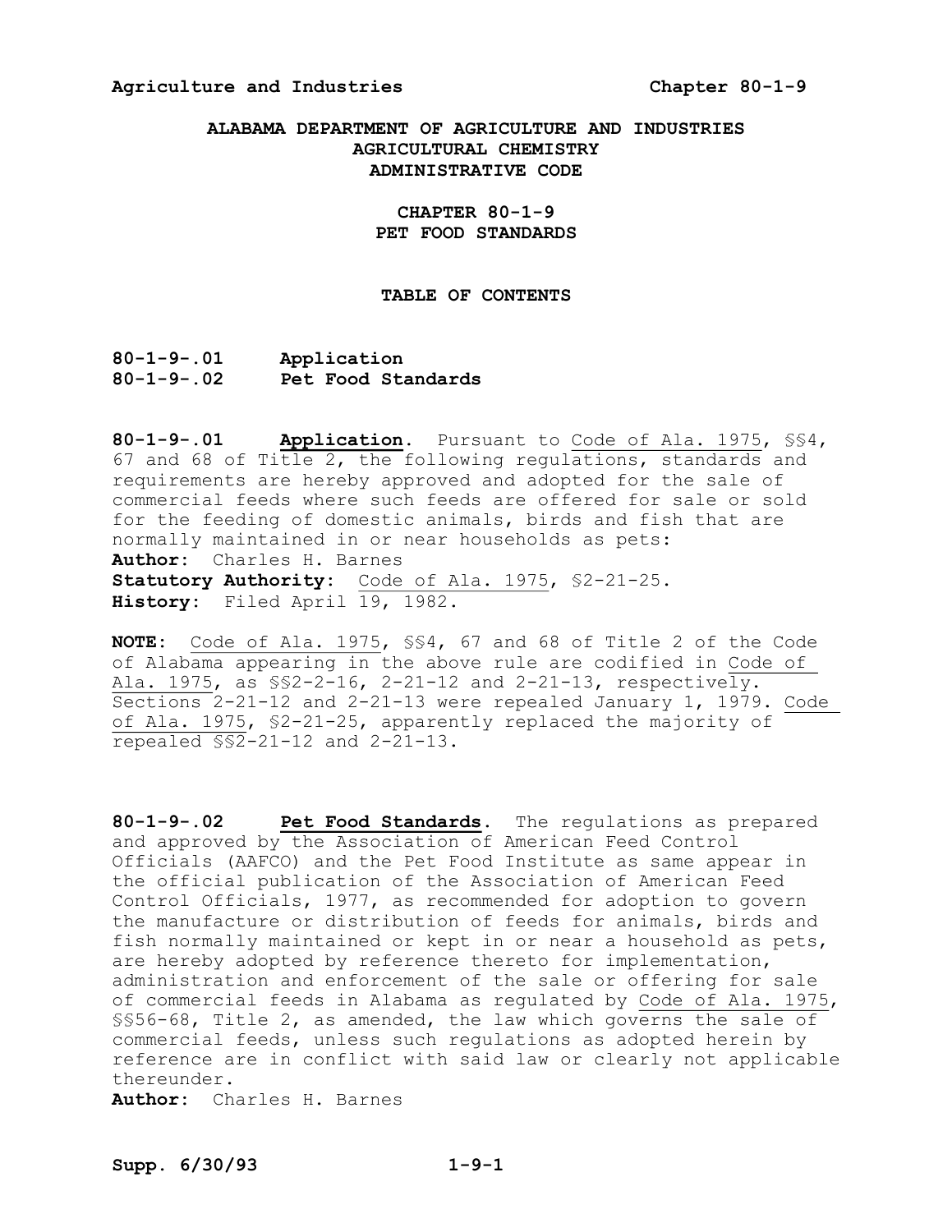#### **Agriculture and Industries Chapter 8019**

#### **ALABAMA DEPARTMENT OF AGRICULTURE AND INDUSTRIES AGRICULTURAL CHEMISTRY ADMINISTRATIVE CODE**

#### **CHAPTER 80-1-9 PET FOOD STANDARDS**

#### **TABLE OF CONTENTS**

**8019.01 Application 8019.02 Pet Food Standards** 

**80-1-9-.01 • Application.** Pursuant to Code of Ala. 1975, \$\$4, 67 and 68 of Title 2, the following regulations, standards and requirements are hereby approved and adopted for the sale of commercial feeds where such feeds are offered for sale or sold for the feeding of domestic animals, birds and fish that are normally maintained in or near households as pets: **Author:** Charles H. Barnes Statutory Authority: Code of Ala. 1975, \$2-21-25. **History:** Filed April 19, 1982.

**NOTE:** Code of Ala. 1975, §§4, 67 and 68 of Title 2 of the Code of Alabama appearing in the above rule are codified in Code of Ala. 1975, as  $\S$ 2-2-16, 2-21-12 and 2-21-13, respectively. Sections  $2-21-12$  and  $2-21-13$  were repealed January 1, 1979. Code of Ala. 1975, §2-21-25, apparently replaced the majority of repealed \$\$2-21-12 and 2-21-13.

80-1-9-.02 **Pet Food Standards.** The regulations as prepared and approved by the Association of American Feed Control Officials (AAFCO) and the Pet Food Institute as same appear in the official publication of the Association of American Feed Control Officials, 1977, as recommended for adoption to govern the manufacture or distribution of feeds for animals, birds and fish normally maintained or kept in or near a household as pets, are hereby adopted by reference thereto for implementation, administration and enforcement of the sale or offering for sale of commercial feeds in Alabama as regulated by Code of Ala. 1975, §§56-68, Title 2, as amended, the law which governs the sale of commercial feeds, unless such regulations as adopted herein by reference are in conflict with said law or clearly not applicable thereunder.

**Author:** Charles H. Barnes